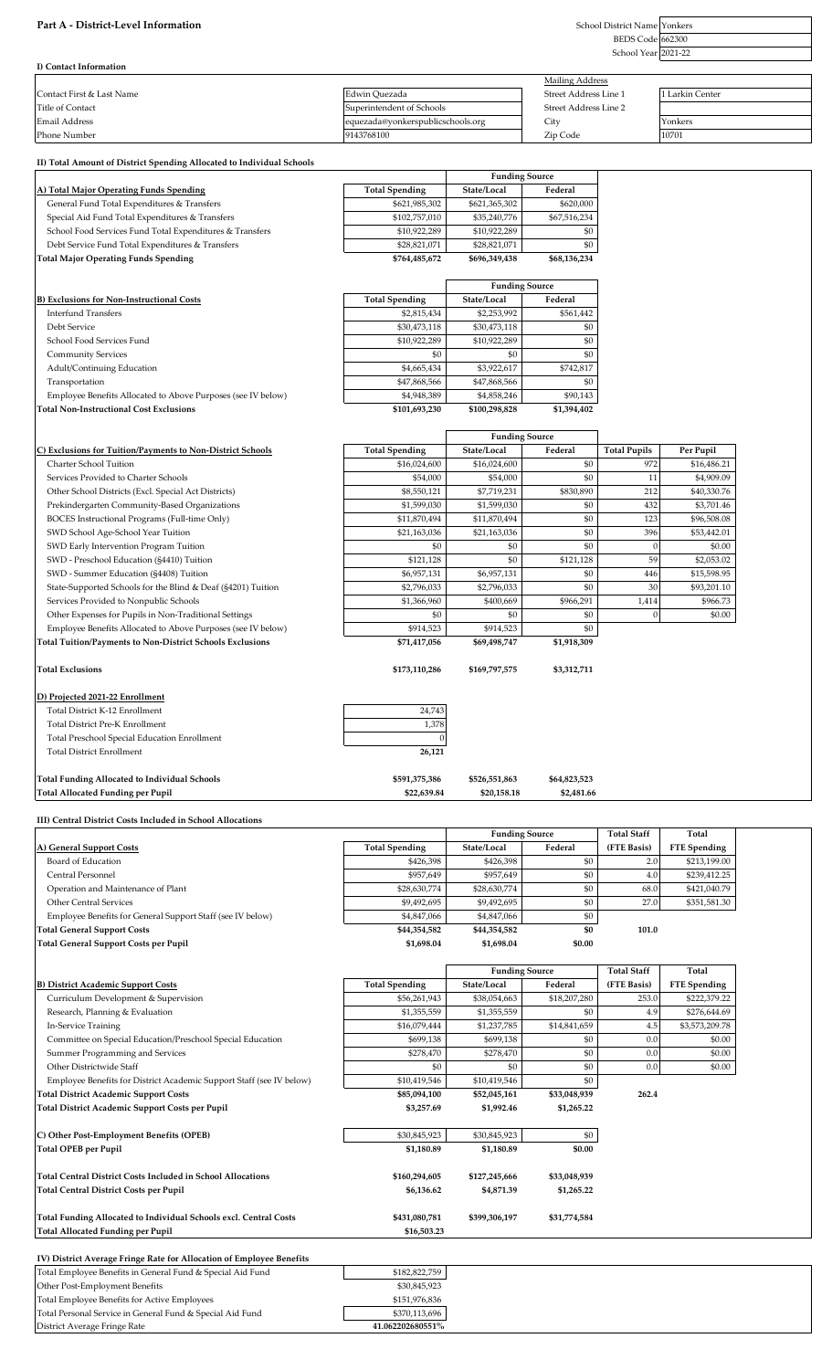## Part A - District-Level Information

BEDS Code Yonkers 662300

School Year 2021-22

| I) Contact Information    |                                   |                        |                 |
|---------------------------|-----------------------------------|------------------------|-----------------|
|                           |                                   | <b>Mailing Address</b> |                 |
| Contact First & Last Name | Edwin Quezada                     | Street Address Line 1  | 1 Larkin Center |
| Title of Contact          | Superintendent of Schools         | Street Address Line 2  |                 |
| Email Address             | equezada@yonkerspublicschools.org | City                   | Yonkers         |
| Phone Number              | 9143768100                        | Zip Code               | 10701           |

| II) Total Amount of District Spending Allocated to Individual Schools                            |                              |                              |                            |                     |                     |  |
|--------------------------------------------------------------------------------------------------|------------------------------|------------------------------|----------------------------|---------------------|---------------------|--|
|                                                                                                  |                              | <b>Funding Source</b>        |                            |                     |                     |  |
| <u>A) Total Major Operating Funds Spending</u>                                                   | <b>Total Spending</b>        | State/Local                  | Federal                    |                     |                     |  |
| General Fund Total Expenditures & Transfers                                                      | \$621,985,302                | \$621,365,302                | \$620,000                  |                     |                     |  |
| Special Aid Fund Total Expenditures & Transfers                                                  | \$102,757,010                | \$35,240,776                 | \$67,516,234               |                     |                     |  |
| School Food Services Fund Total Expenditures & Transfers                                         | \$10,922,289                 | \$10,922,289                 | \$0                        |                     |                     |  |
| Debt Service Fund Total Expenditures & Transfers                                                 | \$28,821,071                 | \$28,821,071                 | \$0                        |                     |                     |  |
| Total Major Operating Funds Spending                                                             | \$764,485,672                | \$696,349,438                | \$68,136,234               |                     |                     |  |
|                                                                                                  |                              | <b>Funding Source</b>        |                            |                     |                     |  |
| <b>B) Exclusions for Non-Instructional Costs</b>                                                 | <b>Total Spending</b>        | State/Local                  | Federal                    |                     |                     |  |
| <b>Interfund Transfers</b>                                                                       | \$2,815,434                  | \$2,253,992                  | \$561,442                  |                     |                     |  |
| Debt Service                                                                                     | \$30,473,118                 | \$30,473,118                 | \$0                        |                     |                     |  |
| School Food Services Fund                                                                        | \$10,922,289                 | \$10,922,289                 | \$0                        |                     |                     |  |
| <b>Community Services</b>                                                                        | \$0                          | \$0                          | \$0                        |                     |                     |  |
| Adult/Continuing Education                                                                       | \$4,665,434                  | \$3,922,617                  | \$742,817                  |                     |                     |  |
| Transportation                                                                                   | \$47,868,566                 | \$47,868,566                 | \$0                        |                     |                     |  |
| Employee Benefits Allocated to Above Purposes (see IV below)                                     | \$4,948,389                  | \$4,858,246                  | \$90,143                   |                     |                     |  |
| <b>Total Non-Instructional Cost Exclusions</b>                                                   | \$101,693,230                | \$100,298,828                | \$1,394,402                |                     |                     |  |
|                                                                                                  |                              | <b>Funding Source</b>        |                            |                     |                     |  |
| C) Exclusions for Tuition/Payments to Non-District Schools                                       | <b>Total Spending</b>        | State/Local                  | Federal                    | <b>Total Pupils</b> | Per Pupil           |  |
| Charter School Tuition                                                                           | \$16,024,600                 | \$16,024,600                 | \$0                        | 972                 | \$16,486.21         |  |
| Services Provided to Charter Schools                                                             | \$54,000                     | \$54,000                     | \$0                        | 11                  | \$4,909.09          |  |
| Other School Districts (Excl. Special Act Districts)                                             | \$8,550,121                  | \$7,719,231                  | \$830,890                  | 212                 | \$40,330.76         |  |
| Prekindergarten Community-Based Organizations                                                    | \$1,599,030                  | \$1,599,030                  | \$0                        | 432                 | \$3,701.46          |  |
| BOCES Instructional Programs (Full-time Only)                                                    | \$11,870,494                 | \$11,870,494                 | \$0                        | 123                 | \$96,508.08         |  |
| SWD School Age-School Year Tuition                                                               | \$21,163,036                 | \$21,163,036                 | \$0                        | 396                 | \$53,442.01         |  |
| SWD Early Intervention Program Tuition                                                           | \$0                          | \$0                          | \$0                        | $\overline{0}$      | \$0.00              |  |
| SWD - Preschool Education (§4410) Tuition                                                        | \$121,128                    | \$0                          | \$121,128                  | 59                  | \$2,053.02          |  |
| SWD - Summer Education (§4408) Tuition                                                           | \$6,957,131                  | \$6,957,131                  | \$0                        | 446                 | \$15,598.95         |  |
| State-Supported Schools for the Blind & Deaf (§4201) Tuition                                     | \$2,796,033                  | \$2,796,033                  | \$0                        | 30                  | \$93,201.10         |  |
| Services Provided to Nonpublic Schools                                                           | \$1,366,960                  | \$400,669                    | \$966,291                  | 1,414               | \$966.73            |  |
| Other Expenses for Pupils in Non-Traditional Settings                                            | \$0                          | \$0                          | \$0                        | $\overline{0}$      | \$0.00              |  |
| Employee Benefits Allocated to Above Purposes (see IV below)                                     | \$914,523                    | \$914,523                    | \$0                        |                     |                     |  |
| Total Tuition/Payments to Non-District Schools Exclusions                                        | \$71,417,056                 | \$69,498,747                 | \$1,918,309                |                     |                     |  |
|                                                                                                  |                              |                              |                            |                     |                     |  |
| <b>Total Exclusions</b>                                                                          | \$173,110,286                | \$169,797,575                | \$3,312,711                |                     |                     |  |
|                                                                                                  |                              |                              |                            |                     |                     |  |
| D) Projected 2021-22 Enrollment                                                                  |                              |                              |                            |                     |                     |  |
| Total District K-12 Enrollment                                                                   | 24,743                       |                              |                            |                     |                     |  |
| Total District Pre-K Enrollment                                                                  | 1,378                        |                              |                            |                     |                     |  |
| Total Preschool Special Education Enrollment                                                     |                              |                              |                            |                     |                     |  |
| <b>Total District Enrollment</b>                                                                 | 26,121                       |                              |                            |                     |                     |  |
|                                                                                                  |                              |                              |                            |                     |                     |  |
| <b>Total Funding Allocated to Individual Schools</b><br><b>Total Allocated Funding per Pupil</b> | \$591,375,386<br>\$22,639.84 | \$526,551,863<br>\$20,158.18 | \$64,823,523<br>\$2,481.66 |                     |                     |  |
|                                                                                                  |                              |                              |                            |                     |                     |  |
| III) Central District Costs Included in School Allocations                                       |                              |                              |                            |                     |                     |  |
|                                                                                                  |                              | <b>Funding Source</b>        |                            | <b>Total Staff</b>  | Total               |  |
| A) General Support Costs                                                                         | <b>Total Spending</b>        | State/Local                  | Federal                    | (FTE Basis)         | <b>FTE</b> Spending |  |
| Board of Education                                                                               | \$426,398                    | \$426,398                    | \$0                        | 2.0                 | \$213,199.00        |  |
| Central Personnel                                                                                | \$957,649                    | \$957,649                    | \$0                        | 4.0                 | \$239,412.25        |  |
| Operation and Maintenance of Plant                                                               | \$28,630,774                 | \$28,630,774                 | \$0                        | 68.0                | \$421,040.79        |  |
| <b>Other Central Services</b>                                                                    | \$9,492,695                  | \$9,492,695                  | \$0                        | 27.0                | \$351,581.30        |  |
| Employee Benefits for General Support Staff (see IV below)                                       | \$4,847,066                  | \$4,847,066                  | \$0                        |                     |                     |  |
| Total General Support Costs<br>Total General Support Costs per Pupil                             | \$44,354,582<br>\$1,698.04   | \$44,354,582<br>\$1,698.04   | \$0<br>\$0.00              | 101.0               |                     |  |
|                                                                                                  |                              |                              |                            |                     |                     |  |
|                                                                                                  |                              | <b>Funding Source</b>        |                            | <b>Total Staff</b>  | Total               |  |
| <b>B) District Academic Support Costs</b>                                                        | <b>Total Spending</b>        | State/Local                  | Federal                    | (FTE Basis)         | <b>FTE</b> Spending |  |
| Curriculum Development & Supervision                                                             | \$56,261,943                 | \$38,054,663                 | \$18,207,280               | 253.0               | \$222,379.22        |  |
| Research, Planning & Evaluation                                                                  | \$1,355,559                  | \$1,355,559                  | \$0                        | 4.9                 | \$276,644.69        |  |
| In-Service Training                                                                              | \$16,079,444                 | \$1,237,785                  | \$14,841,659               | 4.5                 | \$3,573,209.78      |  |
| Committee on Special Education/Preschool Special Education                                       | \$699,138                    | \$699,138                    | \$0                        | 0.0                 | \$0.00              |  |
| Summer Programming and Services                                                                  | \$278,470                    | \$278,470                    | \$0                        | 0.0                 | \$0.00              |  |
| Other Districtwide Staff                                                                         | \$0                          | \$0                          | \$0                        | 0.0                 | \$0.00              |  |
| Employee Benefits for District Academic Support Staff (see IV below)                             | \$10,419,546                 | \$10,419,546                 | \$0                        |                     |                     |  |
| Total District Academic Support Costs                                                            | \$85,094,100                 | \$52,045,161                 | \$33,048,939               | 262.4               |                     |  |
| Total District Academic Support Costs per Pupil                                                  | \$3,257.69                   | \$1,992.46                   | \$1,265.22                 |                     |                     |  |
|                                                                                                  |                              |                              |                            |                     |                     |  |
| C) Other Post-Employment Benefits (OPEB)                                                         | \$30,845,923                 | \$30,845,923                 | \$0                        |                     |                     |  |
| Total OPEB per Pupil                                                                             | \$1,180.89                   | \$1,180.89                   | \$0.00                     |                     |                     |  |
|                                                                                                  |                              |                              |                            |                     |                     |  |
| <b>Total Central District Costs Included in School Allocations</b>                               | \$160,294,605                | \$127,245,666                | \$33,048,939               |                     |                     |  |
| <b>Total Central District Costs per Pupil</b>                                                    | \$6,136.62                   | \$4,871.39                   | \$1,265.22                 |                     |                     |  |
|                                                                                                  |                              |                              |                            |                     |                     |  |
| Total Funding Allocated to Individual Schools excl. Central Costs                                | \$431,080,781                | \$399,306,197                | \$31,774,584               |                     |                     |  |
| Total Allocated Funding per Pupil                                                                | \$16,503.23                  |                              |                            |                     |                     |  |

| IV) District Average Fringe Rate for Allocation of Employee Benefits |                  |  |
|----------------------------------------------------------------------|------------------|--|
| Total Employee Benefits in General Fund & Special Aid Fund           | \$182,822,759    |  |
| Other Post-Employment Benefits                                       | \$30,845,923     |  |
| Total Employee Benefits for Active Employees                         | \$151,976,836    |  |
| Total Personal Service in General Fund & Special Aid Fund            | \$370,113,696    |  |
| District Average Fringe Rate                                         | 41.062202680551% |  |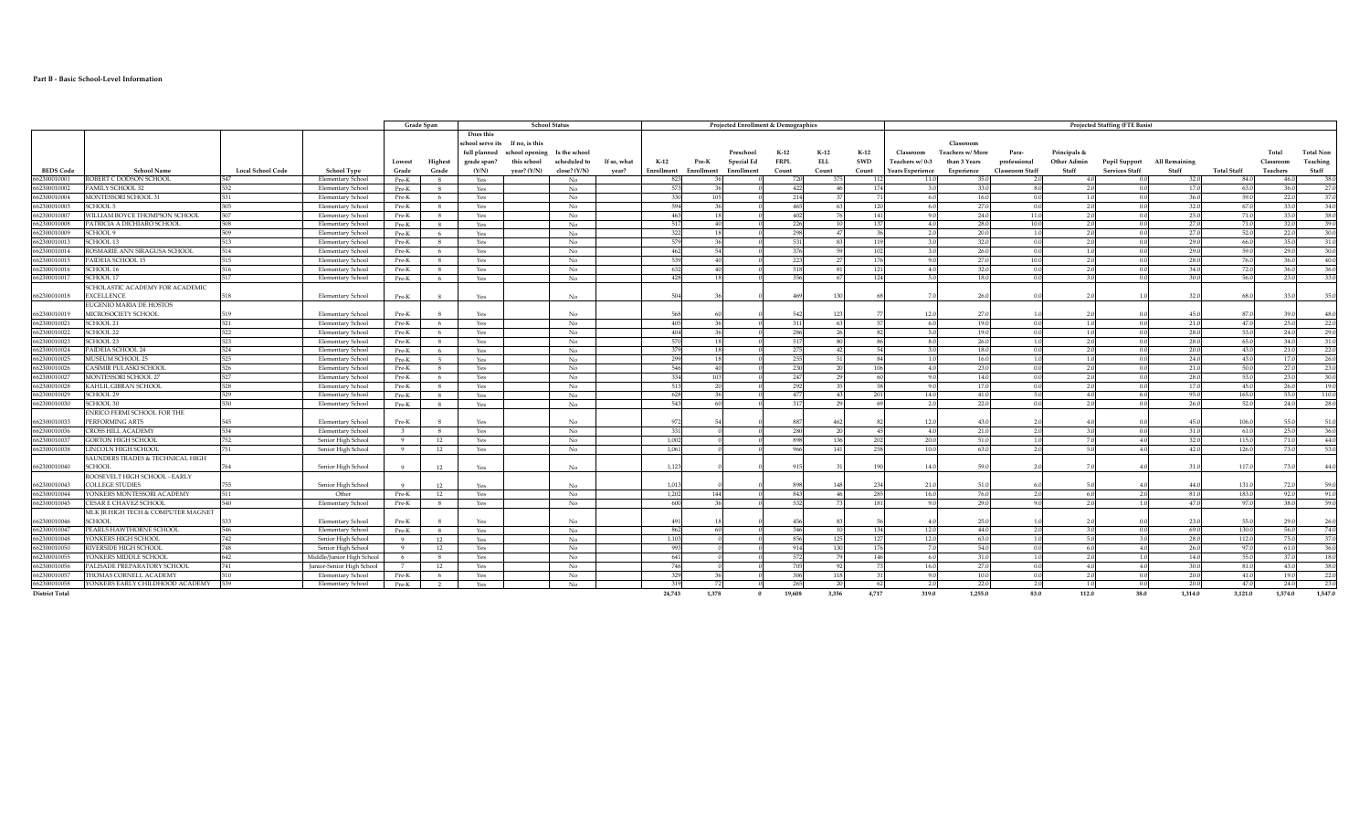## **Part B - Basic School-Level Information**

| Grade Span<br><b>School Status</b><br><b>Projected Staffing (FTE Basis)</b><br>Projected Enrollment & Demographics<br>Does this<br>school serve its<br>If no, is this<br>Classroor<br>full planned<br>school opening Is the school<br>$K-12$<br>$K-12$<br><b>Total Non</b><br>$K-12$<br>Classroom<br><b>Teachers w/ More</b><br>Para-<br>Principals &<br>Preschoo<br>Total<br><b>FRPL</b><br>Teaching<br>scheduled to<br><b>ELL</b><br>SWD<br>Other Admin<br>Highest<br>grade span?<br>this school<br>If so, what<br>$K-12$<br>Pre-K<br>Special Ed<br>Teachers w/0-3<br>professional<br>Pupil Support<br>All Remaining<br>Lowest<br>than 3 Years<br>Classroon<br>Staff<br>Staff<br><b>BEDS Code</b><br><b>School Name</b><br><b>Local School Code</b><br><b>School Type</b><br>Grade<br>(Y/N)<br>year? (Y/N)<br>close? $(Y/N)$<br>Enrollment<br>Enrollment<br><b>Services Staff</b><br>Staff<br><b>Total Staff</b><br>Grade<br>year?<br>Enrollment<br>Count<br>Count<br>Count<br>Experience<br><b>Classroom Staff</b><br>Teachers<br>Years Experience<br>662300010001<br>ROBERT C DODSON SCHOOL<br>Elementary School<br>32.0<br>547<br>Pre-K<br>8 <sup>8</sup><br>Yes<br>No<br>823<br>720<br>11.0<br>35.0<br>$-4.0$<br>84.<br>46.0<br>- 11<br>20<br>FAMILY SCHOOL 32<br>532<br>573<br>17.0<br>662300010002<br><b>Elementary School</b><br>Pre-K<br>8 <sup>8</sup><br>No<br>422<br>174<br>3.0<br>33.0<br>8.0<br>63.0<br>36.0<br>Yes<br>$\overline{2}$<br>$\sqrt{ }$<br>662300010004<br>MONTESSORI SCHOOL 31<br>No<br>330<br>36.0<br>22.0<br><b>Elementary School</b><br>Pre-K<br>214<br>16.0<br>59.<br>6<br>Yes<br>6.0<br>0.0<br>27.0<br>32(<br>662300010005<br><b>SCHOOL 5</b><br><b>Elementary School</b><br>No<br>594<br>33.0<br>Pre-K<br>-8<br>Yes<br>-6.0<br>0.0<br>-67<br><b>No</b><br>463<br>24.0<br>25.0<br>33.0<br>662300010007<br>WILLIAM BOYCE THOMPSON SCHOOL<br>507<br>Pre-K<br>8<br>9.0<br>11.0<br>71.<br><b>Elementary School</b><br>Yes<br>402<br>14 <sup>°</sup><br>$\overline{2}$<br>28.0<br>27.0<br>662300010008<br>PATRICIA A DICHIARO SCHOOL<br><b>No</b><br>517<br>4.0<br>10.0<br>2.0<br>71.0<br>32.0<br>508<br><b>Elementary School</b><br>Pre-K<br>8 <sup>8</sup><br>Yes<br>226<br>137<br>$\sqrt{ }$<br>27.0<br>322<br>20.0<br>52.0<br>22.0<br>662300010009<br>SCHOOL 9<br>509<br><b>Elementary School</b><br>Pre-K<br>6 <sup>6</sup><br>No<br>2.0<br>1.0<br>2.0<br>Yes<br>-47<br>$\sqrt{ }$<br>662300010013<br>SCHOOL 13<br>Pre-K<br>No<br>579<br>32.0<br>29.0<br>35.0<br>513<br><b>Elementary School</b><br>8<br>Yes<br>-3.0<br>0.0<br>66.<br>11<br>2.0<br>26.0<br>ROSMARIE ANN SIRAGUSA SCHOOL<br>462<br>29.0<br>29.0<br>662300010014<br>514<br><b>Elementary School</b><br>$Pre-K$<br>6<br>No.<br>0.0<br>Yes<br>-59<br>515<br><b>No</b><br>539<br>27.0<br>28.0<br>662300010015<br>PAIDEIA SCHOOL 15<br>Pre-K<br>8<br>223<br>10.0<br>76.0<br>36.0<br><b>Elementary School</b><br>Yes<br>17<br>9.0<br>$\overline{2}$<br>662300010016<br>SCHOOL 16<br><b>No</b><br>632<br>121<br>4.0<br>32.0<br>0.0<br>2.0<br>34.0<br>72.0<br>36.0<br>516<br><b>Elementary School</b><br>Pre-K<br>8 <sup>1</sup><br>Yes<br>518<br>81<br>$\sqrt{ }$<br>30.0<br>SCHOOL 17<br>428<br>23.0<br>662300010017<br>517<br><b>Elementary School</b><br>Pre-K<br>Yes<br>No<br>356<br>12.<br>5.0<br>18.0<br>0.0<br>56.0<br>- 6<br>$\mathbf{3}$<br>SCHOLASTIC ACADEMY FOR ACADEMIC<br>32<br>EXCELLENCE<br>261<br>662300010018<br>Elementary School<br>No<br>13<br>33<br>Pre-K<br>$\mathbf{R}$<br>Yes<br>-68<br>EUGENIO MARIA DE HOSTOS<br>662300010019<br>MICROSOCIETY SCHOOL<br>Elementary School<br>123<br>12.0<br>27.0<br>45.<br>87<br>48.0<br>519<br>No<br>39<br>Pre-K<br>Yes<br>$\mathbf{g}$<br>662300010021<br>SCHOOL 21<br>521<br>Elementary School<br>Pre-K<br>No<br>405<br>6.0<br>19.0<br>0.0<br>21.0<br>47.0<br>25.0<br>22.0<br>6 <sup>6</sup><br>Yes<br>311<br>-63<br>$\overline{1}$<br>28.0<br>662300010022<br>SCHOOL 22<br>522<br>404<br>53.0<br>24.0<br>Elementary School<br>Pre-K<br>No<br>19.0<br>29.0<br>6<br>Yes<br>-286<br>-26<br>- 5.0<br>0.0<br>$\theta$<br>- 1.<br><b>SCHOOL 23</b><br>523<br>No<br>570<br>26.0<br>28.0<br>34.0<br>31.0<br>662300010023<br><b>Elementary School</b><br>Pre-K<br>- 8<br>Yes<br>65.0<br>80<br>22.0<br>662300010024<br>379<br>20.0<br>21.0<br><b>PAIDEIA SCHOOL 24</b><br>524<br>No<br>18.0<br>Elementary School<br>Pre-K<br>6<br>Yes<br>0.<br>-43.0<br>299<br>662300010025<br>MUSEUM SCHOOL 25<br><b>No</b><br>16.0<br>24.0<br>17.0<br>26.0<br><b>Elementary School</b><br>$-5$<br>43.0<br>525<br>Pre-K<br>Yes<br>- 1.0<br>1.0<br>546<br>23.0<br>662300010026<br>CASIMIR PULASKI SCHOOL<br>Elementary School<br>Pre-K<br>8 <sup>8</sup><br>No<br>230<br>4.0<br>0.0<br>2.0<br>21.0<br>50.0<br>27.0<br>23.0<br>526<br>Yes<br>10 <sub>0</sub><br>$\sqrt{2}$<br>28.0<br>30.0<br>662300010027<br>MONTESSORI SCHOOL 27<br>334<br>14.0<br>53.0<br>23.0<br><b>Elementary School</b><br>Pre-K<br>No<br>247<br>9.0<br>527<br>6<br>Yes<br>0.0<br>2.0<br>$\sqrt{ }$<br>10<br>KAHLIL GIBRAN SCHOOL<br>No<br>513<br>17.0<br>19.0<br>662300010028<br>528<br>Elementary School<br>Pre-K<br>- 8<br>Yes<br>17.0<br>45.0<br>26.0<br>-9.6<br>0 <sup>o</sup><br>110.0<br>662300010029<br>41.0<br>95.0<br>165.<br>SCHOOL 29<br>529<br>628<br>14.0<br>55.0<br>Elementary School<br>Pre-K<br>8<br>Yes<br>No<br>477<br>22.0<br>662300010030<br><b>SCHOOL 30</b><br><b>No</b><br>543<br>2.0<br>26.0<br>52.0<br>24.0<br>28.0<br>530<br><b>Elementary School</b><br>Pre-K<br>8<br>317<br>0.0<br>$\overline{2}$<br>Yes<br>ENRICO FERMI SCHOOL FOR THE<br>PERFORMING ARTS<br>No<br>106.<br>662300010033<br>Elementary School<br>Pre-K<br>43.0<br>-8<br>Yes<br>12.0<br>45<br>55<br>CROSS HILL ACADEMY<br>331<br>662300010036<br>534<br>Elementary School<br>No<br>21.0<br>31.0<br>4.0<br>61.0<br>25.0<br>$\mathbf{R}$<br>8<br>Yes<br>20<br>1.002<br>20.0<br>51.0<br>32(<br>71.0<br>66230001003<br><b>GORTON HIGH SCHOOL</b><br>752<br>Senior High School<br>$\overline{9}$<br>12<br>Yes<br>No<br>136<br>115.0<br>-20<br>42.0<br>662300010038<br>LINCOLN HIGH SCHOOL<br>Senior High School<br>12<br><b>No</b><br>1.061<br>141<br>258<br>10.0<br>63.0<br>2.0<br>126.0<br>73.0<br>$\overline{9}$<br>Q66<br>-51<br>Yes<br>SAUNDERS TRADES & TECHNICAL HIGH<br><b>SCHOOL</b><br>No<br>59.0<br>Senior High School<br>$\mathbf{Q}$<br>12<br>31<br>117.<br>73.0<br>Yes<br>1.123<br>190<br>14.0<br>21<br>ROOSEVELT HIGH SCHOOL - EARLY<br><b>COLLEGE STUDIES</b><br>51.0<br>131.<br>662300010043<br>Senior High School<br>12<br>No<br>1.013<br>234<br>21.0<br>44<br>72.0<br>Yes<br>14<br>1,202<br>285<br>16.0<br>76.0<br>81.0<br>183.0<br>92.0<br>662300010044<br>YONKERS MONTESSORI ACADEMY<br>511<br>84 <sup>°</sup><br>2.0<br>Other<br><b>12</b><br>No<br>Pre-K<br>Yes<br>144<br>-6<br>29.0<br>47.0<br>38.0<br>662300010045<br>CESAR E CHAVEZ SCHOOL<br>540<br>Elementary School<br>Pre-K<br>No<br>600<br>532<br>18<br>9.0<br>97.<br>8<br>Yes<br>9.0<br>2.0<br>MLK JR HIGH TECH & COMPUTER MAGNET<br>SCHOOL<br>25<br>23<br>Elementary School<br>No<br>Pre-K<br>Yes<br>29<br>66230001004<br>PEARLS HAWTHORNE SCHOOL<br>546<br>Pre-K<br>No.<br>862<br>346<br>134<br>12.0<br>44.0<br>69.0<br>130.0<br>56.0<br><b>Elementary School</b><br>8<br>Yes<br>2.0<br>$\mathbf{R}$<br>12.0<br>75.0<br>742<br>1,103<br>63.0<br>28.0<br>112.0<br>662300010048<br>YONKERS HIGH SCHOOL<br>Senior High School<br><b>12</b><br>No<br>125<br>12'<br>$\overline{9}$<br>Yes<br>856<br>1.0<br>54.0<br>26.0<br>662300010050<br>RIVERSIDE HIGH SCHOOI<br>748<br>Senior High School<br>993<br>130<br>17(<br>7.0<br>0.0<br>97.0<br>61.0<br>$\overline{9}$<br>12<br>No<br>914<br>6.0<br>Yes<br>$\overline{4}$<br>31.0<br>Middle/Junior High Schoo<br>641<br>146<br>14.0<br>55.<br>37.0<br>YONKERS MIDDLE SCHOOL<br>642<br>No<br>572<br>6.0<br>1.0<br>2.0<br>6<br>8<br>Yes<br>$-1.0$<br>PALISADE PREPARATORY SCHOOL<br>746<br>662300010056<br>Junior-Senior High School<br>16.0<br>27.0<br>30.0<br>43.0<br>741<br>7<br>12<br>Yes<br>No.<br>0.0<br>-81.0<br>$-4$<br>-4<br>329<br><b>THOMAS CORNELL ACADEMY</b><br>No.<br>10.0<br>20.0<br>66230001005<br>510<br><b>Elementary School</b><br>Pre-K<br>Yes<br>118<br>41.0<br>19.0<br>6<br>Q(f)<br>00<br>$\overline{2}$<br>22.0<br>24.0<br><b>No</b><br>319<br>20.0<br>YONKERS EARLY CHILDHOOD ACADEMY<br>539<br>Pre-K<br>$\overline{2}$<br>2.0<br>2.0<br>47.0<br>Elementary School<br>Yes<br>265<br>3,356<br>4.717<br>319.0<br>1.255.0<br>83.0<br>112.0<br>1,314.0<br>3.121.0<br>1,574.0<br>1.378<br>19,608<br>38.0 |                       |  |  |  |  |        |  |  |  |  |  |  |  |  |  |         |
|-----------------------------------------------------------------------------------------------------------------------------------------------------------------------------------------------------------------------------------------------------------------------------------------------------------------------------------------------------------------------------------------------------------------------------------------------------------------------------------------------------------------------------------------------------------------------------------------------------------------------------------------------------------------------------------------------------------------------------------------------------------------------------------------------------------------------------------------------------------------------------------------------------------------------------------------------------------------------------------------------------------------------------------------------------------------------------------------------------------------------------------------------------------------------------------------------------------------------------------------------------------------------------------------------------------------------------------------------------------------------------------------------------------------------------------------------------------------------------------------------------------------------------------------------------------------------------------------------------------------------------------------------------------------------------------------------------------------------------------------------------------------------------------------------------------------------------------------------------------------------------------------------------------------------------------------------------------------------------------------------------------------------------------------------------------------------------------------------------------------------------------------------------------------------------------------------------------------------------------------------------------------------------------------------------------------------------------------------------------------------------------------------------------------------------------------------------------------------------------------------------------------------------------------------------------------------------------------------------------------------------------------------------------------------------------------------------------------------------------------------------------------------------------------------------------------------------------------------------------------------------------------------------------------------------------------------------------------------------------------------------------------------------------------------------------------------------------------------------------------------------------------------------------------------------------------------------------------------------------------------------------------------------------------------------------------------------------------------------------------------------------------------------------------------------------------------------------------------------------------------------------------------------------------------------------------------------------------------------------------------------------------------------------------------------------------------------------------------------------------------------------------------------------------------------------------------------------------------------------------------------------------------------------------------------------------------------------------------------------------------------------------------------------------------------------------------------------------------------------------------------------------------------------------------------------------------------------------------------------------------------------------------------------------------------------------------------------------------------------------------------------------------------------------------------------------------------------------------------------------------------------------------------------------------------------------------------------------------------------------------------------------------------------------------------------------------------------------------------------------------------------------------------------------------------------------------------------------------------------------------------------------------------------------------------------------------------------------------------------------------------------------------------------------------------------------------------------------------------------------------------------------------------------------------------------------------------------------------------------------------------------------------------------------------------------------------------------------------------------------------------------------------------------------------------------------------------------------------------------------------------------------------------------------------------------------------------------------------------------------------------------------------------------------------------------------------------------------------------------------------------------------------------------------------------------------------------------------------------------------------------------------------------------------------------------------------------------------------------------------------------------------------------------------------------------------------------------------------------------------------------------------------------------------------------------------------------------------------------------------------------------------------------------------------------------------------------------------------------------------------------------------------------------------------------------------------------------------------------------------------------------------------------------------------------------------------------------------------------------------------------------------------------------------------------------------------------------------------------------------------------------------------------------------------------------------------------------------------------------------------------------------------------------------------------------------------------------------------------------------------------------------------------------------------------------------------------------------------------------------------------------------------------------------------------------------------------------------------------------------------------------------------------------------------------------------------------------------------------------------------------------------------------------------------------------------------------------------------------------------------------------------------------------------------------------------------------------------------------------------------------------------------------------------------------------------------------------------------------------------------------------------------------------------------------------------------------------------------------------------------------------------------------------------------------------------------------------------------------------------------------------------------------------------------------------------------------------------------------------------------------------------------------------------------------------------------------------------------------------------------------------------------------------------------------------------------------------------------------------------------------------------------------------------------------------------------------------------------------------------------------------------------------------------------|-----------------------|--|--|--|--|--------|--|--|--|--|--|--|--|--|--|---------|
|                                                                                                                                                                                                                                                                                                                                                                                                                                                                                                                                                                                                                                                                                                                                                                                                                                                                                                                                                                                                                                                                                                                                                                                                                                                                                                                                                                                                                                                                                                                                                                                                                                                                                                                                                                                                                                                                                                                                                                                                                                                                                                                                                                                                                                                                                                                                                                                                                                                                                                                                                                                                                                                                                                                                                                                                                                                                                                                                                                                                                                                                                                                                                                                                                                                                                                                                                                                                                                                                                                                                                                                                                                                                                                                                                                                                                                                                                                                                                                                                                                                                                                                                                                                                                                                                                                                                                                                                                                                                                                                                                                                                                                                                                                                                                                                                                                                                                                                                                                                                                                                                                                                                                                                                                                                                                                                                                                                                                                                                                                                                                                                                                                                                                                                                                                                                                                                                                                                                                                                                                                                                                                                                                                                                                                                                                                                                                                                                                                                                                                                                                                                                                                                                                                                                                                                                                                                                                                                                                                                                                                                                                                                                                                                                                                                                                                                                                                                                                                                                                                                                                                                                                                                                                                                                                                                                                                                                                                                                                                                                                                                                                                                                                                                                                                                                                                                                                                                                                                                                                                                                               |                       |  |  |  |  |        |  |  |  |  |  |  |  |  |  |         |
|                                                                                                                                                                                                                                                                                                                                                                                                                                                                                                                                                                                                                                                                                                                                                                                                                                                                                                                                                                                                                                                                                                                                                                                                                                                                                                                                                                                                                                                                                                                                                                                                                                                                                                                                                                                                                                                                                                                                                                                                                                                                                                                                                                                                                                                                                                                                                                                                                                                                                                                                                                                                                                                                                                                                                                                                                                                                                                                                                                                                                                                                                                                                                                                                                                                                                                                                                                                                                                                                                                                                                                                                                                                                                                                                                                                                                                                                                                                                                                                                                                                                                                                                                                                                                                                                                                                                                                                                                                                                                                                                                                                                                                                                                                                                                                                                                                                                                                                                                                                                                                                                                                                                                                                                                                                                                                                                                                                                                                                                                                                                                                                                                                                                                                                                                                                                                                                                                                                                                                                                                                                                                                                                                                                                                                                                                                                                                                                                                                                                                                                                                                                                                                                                                                                                                                                                                                                                                                                                                                                                                                                                                                                                                                                                                                                                                                                                                                                                                                                                                                                                                                                                                                                                                                                                                                                                                                                                                                                                                                                                                                                                                                                                                                                                                                                                                                                                                                                                                                                                                                                                               |                       |  |  |  |  |        |  |  |  |  |  |  |  |  |  |         |
|                                                                                                                                                                                                                                                                                                                                                                                                                                                                                                                                                                                                                                                                                                                                                                                                                                                                                                                                                                                                                                                                                                                                                                                                                                                                                                                                                                                                                                                                                                                                                                                                                                                                                                                                                                                                                                                                                                                                                                                                                                                                                                                                                                                                                                                                                                                                                                                                                                                                                                                                                                                                                                                                                                                                                                                                                                                                                                                                                                                                                                                                                                                                                                                                                                                                                                                                                                                                                                                                                                                                                                                                                                                                                                                                                                                                                                                                                                                                                                                                                                                                                                                                                                                                                                                                                                                                                                                                                                                                                                                                                                                                                                                                                                                                                                                                                                                                                                                                                                                                                                                                                                                                                                                                                                                                                                                                                                                                                                                                                                                                                                                                                                                                                                                                                                                                                                                                                                                                                                                                                                                                                                                                                                                                                                                                                                                                                                                                                                                                                                                                                                                                                                                                                                                                                                                                                                                                                                                                                                                                                                                                                                                                                                                                                                                                                                                                                                                                                                                                                                                                                                                                                                                                                                                                                                                                                                                                                                                                                                                                                                                                                                                                                                                                                                                                                                                                                                                                                                                                                                                                               |                       |  |  |  |  |        |  |  |  |  |  |  |  |  |  |         |
|                                                                                                                                                                                                                                                                                                                                                                                                                                                                                                                                                                                                                                                                                                                                                                                                                                                                                                                                                                                                                                                                                                                                                                                                                                                                                                                                                                                                                                                                                                                                                                                                                                                                                                                                                                                                                                                                                                                                                                                                                                                                                                                                                                                                                                                                                                                                                                                                                                                                                                                                                                                                                                                                                                                                                                                                                                                                                                                                                                                                                                                                                                                                                                                                                                                                                                                                                                                                                                                                                                                                                                                                                                                                                                                                                                                                                                                                                                                                                                                                                                                                                                                                                                                                                                                                                                                                                                                                                                                                                                                                                                                                                                                                                                                                                                                                                                                                                                                                                                                                                                                                                                                                                                                                                                                                                                                                                                                                                                                                                                                                                                                                                                                                                                                                                                                                                                                                                                                                                                                                                                                                                                                                                                                                                                                                                                                                                                                                                                                                                                                                                                                                                                                                                                                                                                                                                                                                                                                                                                                                                                                                                                                                                                                                                                                                                                                                                                                                                                                                                                                                                                                                                                                                                                                                                                                                                                                                                                                                                                                                                                                                                                                                                                                                                                                                                                                                                                                                                                                                                                                                               |                       |  |  |  |  |        |  |  |  |  |  |  |  |  |  |         |
|                                                                                                                                                                                                                                                                                                                                                                                                                                                                                                                                                                                                                                                                                                                                                                                                                                                                                                                                                                                                                                                                                                                                                                                                                                                                                                                                                                                                                                                                                                                                                                                                                                                                                                                                                                                                                                                                                                                                                                                                                                                                                                                                                                                                                                                                                                                                                                                                                                                                                                                                                                                                                                                                                                                                                                                                                                                                                                                                                                                                                                                                                                                                                                                                                                                                                                                                                                                                                                                                                                                                                                                                                                                                                                                                                                                                                                                                                                                                                                                                                                                                                                                                                                                                                                                                                                                                                                                                                                                                                                                                                                                                                                                                                                                                                                                                                                                                                                                                                                                                                                                                                                                                                                                                                                                                                                                                                                                                                                                                                                                                                                                                                                                                                                                                                                                                                                                                                                                                                                                                                                                                                                                                                                                                                                                                                                                                                                                                                                                                                                                                                                                                                                                                                                                                                                                                                                                                                                                                                                                                                                                                                                                                                                                                                                                                                                                                                                                                                                                                                                                                                                                                                                                                                                                                                                                                                                                                                                                                                                                                                                                                                                                                                                                                                                                                                                                                                                                                                                                                                                                                               |                       |  |  |  |  |        |  |  |  |  |  |  |  |  |  |         |
|                                                                                                                                                                                                                                                                                                                                                                                                                                                                                                                                                                                                                                                                                                                                                                                                                                                                                                                                                                                                                                                                                                                                                                                                                                                                                                                                                                                                                                                                                                                                                                                                                                                                                                                                                                                                                                                                                                                                                                                                                                                                                                                                                                                                                                                                                                                                                                                                                                                                                                                                                                                                                                                                                                                                                                                                                                                                                                                                                                                                                                                                                                                                                                                                                                                                                                                                                                                                                                                                                                                                                                                                                                                                                                                                                                                                                                                                                                                                                                                                                                                                                                                                                                                                                                                                                                                                                                                                                                                                                                                                                                                                                                                                                                                                                                                                                                                                                                                                                                                                                                                                                                                                                                                                                                                                                                                                                                                                                                                                                                                                                                                                                                                                                                                                                                                                                                                                                                                                                                                                                                                                                                                                                                                                                                                                                                                                                                                                                                                                                                                                                                                                                                                                                                                                                                                                                                                                                                                                                                                                                                                                                                                                                                                                                                                                                                                                                                                                                                                                                                                                                                                                                                                                                                                                                                                                                                                                                                                                                                                                                                                                                                                                                                                                                                                                                                                                                                                                                                                                                                                                               |                       |  |  |  |  |        |  |  |  |  |  |  |  |  |  |         |
|                                                                                                                                                                                                                                                                                                                                                                                                                                                                                                                                                                                                                                                                                                                                                                                                                                                                                                                                                                                                                                                                                                                                                                                                                                                                                                                                                                                                                                                                                                                                                                                                                                                                                                                                                                                                                                                                                                                                                                                                                                                                                                                                                                                                                                                                                                                                                                                                                                                                                                                                                                                                                                                                                                                                                                                                                                                                                                                                                                                                                                                                                                                                                                                                                                                                                                                                                                                                                                                                                                                                                                                                                                                                                                                                                                                                                                                                                                                                                                                                                                                                                                                                                                                                                                                                                                                                                                                                                                                                                                                                                                                                                                                                                                                                                                                                                                                                                                                                                                                                                                                                                                                                                                                                                                                                                                                                                                                                                                                                                                                                                                                                                                                                                                                                                                                                                                                                                                                                                                                                                                                                                                                                                                                                                                                                                                                                                                                                                                                                                                                                                                                                                                                                                                                                                                                                                                                                                                                                                                                                                                                                                                                                                                                                                                                                                                                                                                                                                                                                                                                                                                                                                                                                                                                                                                                                                                                                                                                                                                                                                                                                                                                                                                                                                                                                                                                                                                                                                                                                                                                                               |                       |  |  |  |  |        |  |  |  |  |  |  |  |  |  | 38.0    |
|                                                                                                                                                                                                                                                                                                                                                                                                                                                                                                                                                                                                                                                                                                                                                                                                                                                                                                                                                                                                                                                                                                                                                                                                                                                                                                                                                                                                                                                                                                                                                                                                                                                                                                                                                                                                                                                                                                                                                                                                                                                                                                                                                                                                                                                                                                                                                                                                                                                                                                                                                                                                                                                                                                                                                                                                                                                                                                                                                                                                                                                                                                                                                                                                                                                                                                                                                                                                                                                                                                                                                                                                                                                                                                                                                                                                                                                                                                                                                                                                                                                                                                                                                                                                                                                                                                                                                                                                                                                                                                                                                                                                                                                                                                                                                                                                                                                                                                                                                                                                                                                                                                                                                                                                                                                                                                                                                                                                                                                                                                                                                                                                                                                                                                                                                                                                                                                                                                                                                                                                                                                                                                                                                                                                                                                                                                                                                                                                                                                                                                                                                                                                                                                                                                                                                                                                                                                                                                                                                                                                                                                                                                                                                                                                                                                                                                                                                                                                                                                                                                                                                                                                                                                                                                                                                                                                                                                                                                                                                                                                                                                                                                                                                                                                                                                                                                                                                                                                                                                                                                                                               |                       |  |  |  |  |        |  |  |  |  |  |  |  |  |  | 27.0    |
|                                                                                                                                                                                                                                                                                                                                                                                                                                                                                                                                                                                                                                                                                                                                                                                                                                                                                                                                                                                                                                                                                                                                                                                                                                                                                                                                                                                                                                                                                                                                                                                                                                                                                                                                                                                                                                                                                                                                                                                                                                                                                                                                                                                                                                                                                                                                                                                                                                                                                                                                                                                                                                                                                                                                                                                                                                                                                                                                                                                                                                                                                                                                                                                                                                                                                                                                                                                                                                                                                                                                                                                                                                                                                                                                                                                                                                                                                                                                                                                                                                                                                                                                                                                                                                                                                                                                                                                                                                                                                                                                                                                                                                                                                                                                                                                                                                                                                                                                                                                                                                                                                                                                                                                                                                                                                                                                                                                                                                                                                                                                                                                                                                                                                                                                                                                                                                                                                                                                                                                                                                                                                                                                                                                                                                                                                                                                                                                                                                                                                                                                                                                                                                                                                                                                                                                                                                                                                                                                                                                                                                                                                                                                                                                                                                                                                                                                                                                                                                                                                                                                                                                                                                                                                                                                                                                                                                                                                                                                                                                                                                                                                                                                                                                                                                                                                                                                                                                                                                                                                                                                               |                       |  |  |  |  |        |  |  |  |  |  |  |  |  |  | 37.0    |
|                                                                                                                                                                                                                                                                                                                                                                                                                                                                                                                                                                                                                                                                                                                                                                                                                                                                                                                                                                                                                                                                                                                                                                                                                                                                                                                                                                                                                                                                                                                                                                                                                                                                                                                                                                                                                                                                                                                                                                                                                                                                                                                                                                                                                                                                                                                                                                                                                                                                                                                                                                                                                                                                                                                                                                                                                                                                                                                                                                                                                                                                                                                                                                                                                                                                                                                                                                                                                                                                                                                                                                                                                                                                                                                                                                                                                                                                                                                                                                                                                                                                                                                                                                                                                                                                                                                                                                                                                                                                                                                                                                                                                                                                                                                                                                                                                                                                                                                                                                                                                                                                                                                                                                                                                                                                                                                                                                                                                                                                                                                                                                                                                                                                                                                                                                                                                                                                                                                                                                                                                                                                                                                                                                                                                                                                                                                                                                                                                                                                                                                                                                                                                                                                                                                                                                                                                                                                                                                                                                                                                                                                                                                                                                                                                                                                                                                                                                                                                                                                                                                                                                                                                                                                                                                                                                                                                                                                                                                                                                                                                                                                                                                                                                                                                                                                                                                                                                                                                                                                                                                                               |                       |  |  |  |  |        |  |  |  |  |  |  |  |  |  | 34.0    |
|                                                                                                                                                                                                                                                                                                                                                                                                                                                                                                                                                                                                                                                                                                                                                                                                                                                                                                                                                                                                                                                                                                                                                                                                                                                                                                                                                                                                                                                                                                                                                                                                                                                                                                                                                                                                                                                                                                                                                                                                                                                                                                                                                                                                                                                                                                                                                                                                                                                                                                                                                                                                                                                                                                                                                                                                                                                                                                                                                                                                                                                                                                                                                                                                                                                                                                                                                                                                                                                                                                                                                                                                                                                                                                                                                                                                                                                                                                                                                                                                                                                                                                                                                                                                                                                                                                                                                                                                                                                                                                                                                                                                                                                                                                                                                                                                                                                                                                                                                                                                                                                                                                                                                                                                                                                                                                                                                                                                                                                                                                                                                                                                                                                                                                                                                                                                                                                                                                                                                                                                                                                                                                                                                                                                                                                                                                                                                                                                                                                                                                                                                                                                                                                                                                                                                                                                                                                                                                                                                                                                                                                                                                                                                                                                                                                                                                                                                                                                                                                                                                                                                                                                                                                                                                                                                                                                                                                                                                                                                                                                                                                                                                                                                                                                                                                                                                                                                                                                                                                                                                                                               |                       |  |  |  |  |        |  |  |  |  |  |  |  |  |  | 38.0    |
|                                                                                                                                                                                                                                                                                                                                                                                                                                                                                                                                                                                                                                                                                                                                                                                                                                                                                                                                                                                                                                                                                                                                                                                                                                                                                                                                                                                                                                                                                                                                                                                                                                                                                                                                                                                                                                                                                                                                                                                                                                                                                                                                                                                                                                                                                                                                                                                                                                                                                                                                                                                                                                                                                                                                                                                                                                                                                                                                                                                                                                                                                                                                                                                                                                                                                                                                                                                                                                                                                                                                                                                                                                                                                                                                                                                                                                                                                                                                                                                                                                                                                                                                                                                                                                                                                                                                                                                                                                                                                                                                                                                                                                                                                                                                                                                                                                                                                                                                                                                                                                                                                                                                                                                                                                                                                                                                                                                                                                                                                                                                                                                                                                                                                                                                                                                                                                                                                                                                                                                                                                                                                                                                                                                                                                                                                                                                                                                                                                                                                                                                                                                                                                                                                                                                                                                                                                                                                                                                                                                                                                                                                                                                                                                                                                                                                                                                                                                                                                                                                                                                                                                                                                                                                                                                                                                                                                                                                                                                                                                                                                                                                                                                                                                                                                                                                                                                                                                                                                                                                                                                               |                       |  |  |  |  |        |  |  |  |  |  |  |  |  |  | 39.0    |
|                                                                                                                                                                                                                                                                                                                                                                                                                                                                                                                                                                                                                                                                                                                                                                                                                                                                                                                                                                                                                                                                                                                                                                                                                                                                                                                                                                                                                                                                                                                                                                                                                                                                                                                                                                                                                                                                                                                                                                                                                                                                                                                                                                                                                                                                                                                                                                                                                                                                                                                                                                                                                                                                                                                                                                                                                                                                                                                                                                                                                                                                                                                                                                                                                                                                                                                                                                                                                                                                                                                                                                                                                                                                                                                                                                                                                                                                                                                                                                                                                                                                                                                                                                                                                                                                                                                                                                                                                                                                                                                                                                                                                                                                                                                                                                                                                                                                                                                                                                                                                                                                                                                                                                                                                                                                                                                                                                                                                                                                                                                                                                                                                                                                                                                                                                                                                                                                                                                                                                                                                                                                                                                                                                                                                                                                                                                                                                                                                                                                                                                                                                                                                                                                                                                                                                                                                                                                                                                                                                                                                                                                                                                                                                                                                                                                                                                                                                                                                                                                                                                                                                                                                                                                                                                                                                                                                                                                                                                                                                                                                                                                                                                                                                                                                                                                                                                                                                                                                                                                                                                                               |                       |  |  |  |  |        |  |  |  |  |  |  |  |  |  | 30.0    |
|                                                                                                                                                                                                                                                                                                                                                                                                                                                                                                                                                                                                                                                                                                                                                                                                                                                                                                                                                                                                                                                                                                                                                                                                                                                                                                                                                                                                                                                                                                                                                                                                                                                                                                                                                                                                                                                                                                                                                                                                                                                                                                                                                                                                                                                                                                                                                                                                                                                                                                                                                                                                                                                                                                                                                                                                                                                                                                                                                                                                                                                                                                                                                                                                                                                                                                                                                                                                                                                                                                                                                                                                                                                                                                                                                                                                                                                                                                                                                                                                                                                                                                                                                                                                                                                                                                                                                                                                                                                                                                                                                                                                                                                                                                                                                                                                                                                                                                                                                                                                                                                                                                                                                                                                                                                                                                                                                                                                                                                                                                                                                                                                                                                                                                                                                                                                                                                                                                                                                                                                                                                                                                                                                                                                                                                                                                                                                                                                                                                                                                                                                                                                                                                                                                                                                                                                                                                                                                                                                                                                                                                                                                                                                                                                                                                                                                                                                                                                                                                                                                                                                                                                                                                                                                                                                                                                                                                                                                                                                                                                                                                                                                                                                                                                                                                                                                                                                                                                                                                                                                                                               |                       |  |  |  |  |        |  |  |  |  |  |  |  |  |  | 31.0    |
|                                                                                                                                                                                                                                                                                                                                                                                                                                                                                                                                                                                                                                                                                                                                                                                                                                                                                                                                                                                                                                                                                                                                                                                                                                                                                                                                                                                                                                                                                                                                                                                                                                                                                                                                                                                                                                                                                                                                                                                                                                                                                                                                                                                                                                                                                                                                                                                                                                                                                                                                                                                                                                                                                                                                                                                                                                                                                                                                                                                                                                                                                                                                                                                                                                                                                                                                                                                                                                                                                                                                                                                                                                                                                                                                                                                                                                                                                                                                                                                                                                                                                                                                                                                                                                                                                                                                                                                                                                                                                                                                                                                                                                                                                                                                                                                                                                                                                                                                                                                                                                                                                                                                                                                                                                                                                                                                                                                                                                                                                                                                                                                                                                                                                                                                                                                                                                                                                                                                                                                                                                                                                                                                                                                                                                                                                                                                                                                                                                                                                                                                                                                                                                                                                                                                                                                                                                                                                                                                                                                                                                                                                                                                                                                                                                                                                                                                                                                                                                                                                                                                                                                                                                                                                                                                                                                                                                                                                                                                                                                                                                                                                                                                                                                                                                                                                                                                                                                                                                                                                                                                               |                       |  |  |  |  |        |  |  |  |  |  |  |  |  |  | 30.0    |
|                                                                                                                                                                                                                                                                                                                                                                                                                                                                                                                                                                                                                                                                                                                                                                                                                                                                                                                                                                                                                                                                                                                                                                                                                                                                                                                                                                                                                                                                                                                                                                                                                                                                                                                                                                                                                                                                                                                                                                                                                                                                                                                                                                                                                                                                                                                                                                                                                                                                                                                                                                                                                                                                                                                                                                                                                                                                                                                                                                                                                                                                                                                                                                                                                                                                                                                                                                                                                                                                                                                                                                                                                                                                                                                                                                                                                                                                                                                                                                                                                                                                                                                                                                                                                                                                                                                                                                                                                                                                                                                                                                                                                                                                                                                                                                                                                                                                                                                                                                                                                                                                                                                                                                                                                                                                                                                                                                                                                                                                                                                                                                                                                                                                                                                                                                                                                                                                                                                                                                                                                                                                                                                                                                                                                                                                                                                                                                                                                                                                                                                                                                                                                                                                                                                                                                                                                                                                                                                                                                                                                                                                                                                                                                                                                                                                                                                                                                                                                                                                                                                                                                                                                                                                                                                                                                                                                                                                                                                                                                                                                                                                                                                                                                                                                                                                                                                                                                                                                                                                                                                                               |                       |  |  |  |  |        |  |  |  |  |  |  |  |  |  | 40.0    |
|                                                                                                                                                                                                                                                                                                                                                                                                                                                                                                                                                                                                                                                                                                                                                                                                                                                                                                                                                                                                                                                                                                                                                                                                                                                                                                                                                                                                                                                                                                                                                                                                                                                                                                                                                                                                                                                                                                                                                                                                                                                                                                                                                                                                                                                                                                                                                                                                                                                                                                                                                                                                                                                                                                                                                                                                                                                                                                                                                                                                                                                                                                                                                                                                                                                                                                                                                                                                                                                                                                                                                                                                                                                                                                                                                                                                                                                                                                                                                                                                                                                                                                                                                                                                                                                                                                                                                                                                                                                                                                                                                                                                                                                                                                                                                                                                                                                                                                                                                                                                                                                                                                                                                                                                                                                                                                                                                                                                                                                                                                                                                                                                                                                                                                                                                                                                                                                                                                                                                                                                                                                                                                                                                                                                                                                                                                                                                                                                                                                                                                                                                                                                                                                                                                                                                                                                                                                                                                                                                                                                                                                                                                                                                                                                                                                                                                                                                                                                                                                                                                                                                                                                                                                                                                                                                                                                                                                                                                                                                                                                                                                                                                                                                                                                                                                                                                                                                                                                                                                                                                                                               |                       |  |  |  |  |        |  |  |  |  |  |  |  |  |  | 36.0    |
|                                                                                                                                                                                                                                                                                                                                                                                                                                                                                                                                                                                                                                                                                                                                                                                                                                                                                                                                                                                                                                                                                                                                                                                                                                                                                                                                                                                                                                                                                                                                                                                                                                                                                                                                                                                                                                                                                                                                                                                                                                                                                                                                                                                                                                                                                                                                                                                                                                                                                                                                                                                                                                                                                                                                                                                                                                                                                                                                                                                                                                                                                                                                                                                                                                                                                                                                                                                                                                                                                                                                                                                                                                                                                                                                                                                                                                                                                                                                                                                                                                                                                                                                                                                                                                                                                                                                                                                                                                                                                                                                                                                                                                                                                                                                                                                                                                                                                                                                                                                                                                                                                                                                                                                                                                                                                                                                                                                                                                                                                                                                                                                                                                                                                                                                                                                                                                                                                                                                                                                                                                                                                                                                                                                                                                                                                                                                                                                                                                                                                                                                                                                                                                                                                                                                                                                                                                                                                                                                                                                                                                                                                                                                                                                                                                                                                                                                                                                                                                                                                                                                                                                                                                                                                                                                                                                                                                                                                                                                                                                                                                                                                                                                                                                                                                                                                                                                                                                                                                                                                                                                               |                       |  |  |  |  |        |  |  |  |  |  |  |  |  |  | 33.0    |
|                                                                                                                                                                                                                                                                                                                                                                                                                                                                                                                                                                                                                                                                                                                                                                                                                                                                                                                                                                                                                                                                                                                                                                                                                                                                                                                                                                                                                                                                                                                                                                                                                                                                                                                                                                                                                                                                                                                                                                                                                                                                                                                                                                                                                                                                                                                                                                                                                                                                                                                                                                                                                                                                                                                                                                                                                                                                                                                                                                                                                                                                                                                                                                                                                                                                                                                                                                                                                                                                                                                                                                                                                                                                                                                                                                                                                                                                                                                                                                                                                                                                                                                                                                                                                                                                                                                                                                                                                                                                                                                                                                                                                                                                                                                                                                                                                                                                                                                                                                                                                                                                                                                                                                                                                                                                                                                                                                                                                                                                                                                                                                                                                                                                                                                                                                                                                                                                                                                                                                                                                                                                                                                                                                                                                                                                                                                                                                                                                                                                                                                                                                                                                                                                                                                                                                                                                                                                                                                                                                                                                                                                                                                                                                                                                                                                                                                                                                                                                                                                                                                                                                                                                                                                                                                                                                                                                                                                                                                                                                                                                                                                                                                                                                                                                                                                                                                                                                                                                                                                                                                                               |                       |  |  |  |  |        |  |  |  |  |  |  |  |  |  |         |
|                                                                                                                                                                                                                                                                                                                                                                                                                                                                                                                                                                                                                                                                                                                                                                                                                                                                                                                                                                                                                                                                                                                                                                                                                                                                                                                                                                                                                                                                                                                                                                                                                                                                                                                                                                                                                                                                                                                                                                                                                                                                                                                                                                                                                                                                                                                                                                                                                                                                                                                                                                                                                                                                                                                                                                                                                                                                                                                                                                                                                                                                                                                                                                                                                                                                                                                                                                                                                                                                                                                                                                                                                                                                                                                                                                                                                                                                                                                                                                                                                                                                                                                                                                                                                                                                                                                                                                                                                                                                                                                                                                                                                                                                                                                                                                                                                                                                                                                                                                                                                                                                                                                                                                                                                                                                                                                                                                                                                                                                                                                                                                                                                                                                                                                                                                                                                                                                                                                                                                                                                                                                                                                                                                                                                                                                                                                                                                                                                                                                                                                                                                                                                                                                                                                                                                                                                                                                                                                                                                                                                                                                                                                                                                                                                                                                                                                                                                                                                                                                                                                                                                                                                                                                                                                                                                                                                                                                                                                                                                                                                                                                                                                                                                                                                                                                                                                                                                                                                                                                                                                                               |                       |  |  |  |  |        |  |  |  |  |  |  |  |  |  | 35.0    |
|                                                                                                                                                                                                                                                                                                                                                                                                                                                                                                                                                                                                                                                                                                                                                                                                                                                                                                                                                                                                                                                                                                                                                                                                                                                                                                                                                                                                                                                                                                                                                                                                                                                                                                                                                                                                                                                                                                                                                                                                                                                                                                                                                                                                                                                                                                                                                                                                                                                                                                                                                                                                                                                                                                                                                                                                                                                                                                                                                                                                                                                                                                                                                                                                                                                                                                                                                                                                                                                                                                                                                                                                                                                                                                                                                                                                                                                                                                                                                                                                                                                                                                                                                                                                                                                                                                                                                                                                                                                                                                                                                                                                                                                                                                                                                                                                                                                                                                                                                                                                                                                                                                                                                                                                                                                                                                                                                                                                                                                                                                                                                                                                                                                                                                                                                                                                                                                                                                                                                                                                                                                                                                                                                                                                                                                                                                                                                                                                                                                                                                                                                                                                                                                                                                                                                                                                                                                                                                                                                                                                                                                                                                                                                                                                                                                                                                                                                                                                                                                                                                                                                                                                                                                                                                                                                                                                                                                                                                                                                                                                                                                                                                                                                                                                                                                                                                                                                                                                                                                                                                                                               |                       |  |  |  |  |        |  |  |  |  |  |  |  |  |  |         |
|                                                                                                                                                                                                                                                                                                                                                                                                                                                                                                                                                                                                                                                                                                                                                                                                                                                                                                                                                                                                                                                                                                                                                                                                                                                                                                                                                                                                                                                                                                                                                                                                                                                                                                                                                                                                                                                                                                                                                                                                                                                                                                                                                                                                                                                                                                                                                                                                                                                                                                                                                                                                                                                                                                                                                                                                                                                                                                                                                                                                                                                                                                                                                                                                                                                                                                                                                                                                                                                                                                                                                                                                                                                                                                                                                                                                                                                                                                                                                                                                                                                                                                                                                                                                                                                                                                                                                                                                                                                                                                                                                                                                                                                                                                                                                                                                                                                                                                                                                                                                                                                                                                                                                                                                                                                                                                                                                                                                                                                                                                                                                                                                                                                                                                                                                                                                                                                                                                                                                                                                                                                                                                                                                                                                                                                                                                                                                                                                                                                                                                                                                                                                                                                                                                                                                                                                                                                                                                                                                                                                                                                                                                                                                                                                                                                                                                                                                                                                                                                                                                                                                                                                                                                                                                                                                                                                                                                                                                                                                                                                                                                                                                                                                                                                                                                                                                                                                                                                                                                                                                                                               |                       |  |  |  |  |        |  |  |  |  |  |  |  |  |  |         |
|                                                                                                                                                                                                                                                                                                                                                                                                                                                                                                                                                                                                                                                                                                                                                                                                                                                                                                                                                                                                                                                                                                                                                                                                                                                                                                                                                                                                                                                                                                                                                                                                                                                                                                                                                                                                                                                                                                                                                                                                                                                                                                                                                                                                                                                                                                                                                                                                                                                                                                                                                                                                                                                                                                                                                                                                                                                                                                                                                                                                                                                                                                                                                                                                                                                                                                                                                                                                                                                                                                                                                                                                                                                                                                                                                                                                                                                                                                                                                                                                                                                                                                                                                                                                                                                                                                                                                                                                                                                                                                                                                                                                                                                                                                                                                                                                                                                                                                                                                                                                                                                                                                                                                                                                                                                                                                                                                                                                                                                                                                                                                                                                                                                                                                                                                                                                                                                                                                                                                                                                                                                                                                                                                                                                                                                                                                                                                                                                                                                                                                                                                                                                                                                                                                                                                                                                                                                                                                                                                                                                                                                                                                                                                                                                                                                                                                                                                                                                                                                                                                                                                                                                                                                                                                                                                                                                                                                                                                                                                                                                                                                                                                                                                                                                                                                                                                                                                                                                                                                                                                                                               |                       |  |  |  |  |        |  |  |  |  |  |  |  |  |  |         |
|                                                                                                                                                                                                                                                                                                                                                                                                                                                                                                                                                                                                                                                                                                                                                                                                                                                                                                                                                                                                                                                                                                                                                                                                                                                                                                                                                                                                                                                                                                                                                                                                                                                                                                                                                                                                                                                                                                                                                                                                                                                                                                                                                                                                                                                                                                                                                                                                                                                                                                                                                                                                                                                                                                                                                                                                                                                                                                                                                                                                                                                                                                                                                                                                                                                                                                                                                                                                                                                                                                                                                                                                                                                                                                                                                                                                                                                                                                                                                                                                                                                                                                                                                                                                                                                                                                                                                                                                                                                                                                                                                                                                                                                                                                                                                                                                                                                                                                                                                                                                                                                                                                                                                                                                                                                                                                                                                                                                                                                                                                                                                                                                                                                                                                                                                                                                                                                                                                                                                                                                                                                                                                                                                                                                                                                                                                                                                                                                                                                                                                                                                                                                                                                                                                                                                                                                                                                                                                                                                                                                                                                                                                                                                                                                                                                                                                                                                                                                                                                                                                                                                                                                                                                                                                                                                                                                                                                                                                                                                                                                                                                                                                                                                                                                                                                                                                                                                                                                                                                                                                                                               |                       |  |  |  |  |        |  |  |  |  |  |  |  |  |  |         |
|                                                                                                                                                                                                                                                                                                                                                                                                                                                                                                                                                                                                                                                                                                                                                                                                                                                                                                                                                                                                                                                                                                                                                                                                                                                                                                                                                                                                                                                                                                                                                                                                                                                                                                                                                                                                                                                                                                                                                                                                                                                                                                                                                                                                                                                                                                                                                                                                                                                                                                                                                                                                                                                                                                                                                                                                                                                                                                                                                                                                                                                                                                                                                                                                                                                                                                                                                                                                                                                                                                                                                                                                                                                                                                                                                                                                                                                                                                                                                                                                                                                                                                                                                                                                                                                                                                                                                                                                                                                                                                                                                                                                                                                                                                                                                                                                                                                                                                                                                                                                                                                                                                                                                                                                                                                                                                                                                                                                                                                                                                                                                                                                                                                                                                                                                                                                                                                                                                                                                                                                                                                                                                                                                                                                                                                                                                                                                                                                                                                                                                                                                                                                                                                                                                                                                                                                                                                                                                                                                                                                                                                                                                                                                                                                                                                                                                                                                                                                                                                                                                                                                                                                                                                                                                                                                                                                                                                                                                                                                                                                                                                                                                                                                                                                                                                                                                                                                                                                                                                                                                                                               |                       |  |  |  |  |        |  |  |  |  |  |  |  |  |  |         |
|                                                                                                                                                                                                                                                                                                                                                                                                                                                                                                                                                                                                                                                                                                                                                                                                                                                                                                                                                                                                                                                                                                                                                                                                                                                                                                                                                                                                                                                                                                                                                                                                                                                                                                                                                                                                                                                                                                                                                                                                                                                                                                                                                                                                                                                                                                                                                                                                                                                                                                                                                                                                                                                                                                                                                                                                                                                                                                                                                                                                                                                                                                                                                                                                                                                                                                                                                                                                                                                                                                                                                                                                                                                                                                                                                                                                                                                                                                                                                                                                                                                                                                                                                                                                                                                                                                                                                                                                                                                                                                                                                                                                                                                                                                                                                                                                                                                                                                                                                                                                                                                                                                                                                                                                                                                                                                                                                                                                                                                                                                                                                                                                                                                                                                                                                                                                                                                                                                                                                                                                                                                                                                                                                                                                                                                                                                                                                                                                                                                                                                                                                                                                                                                                                                                                                                                                                                                                                                                                                                                                                                                                                                                                                                                                                                                                                                                                                                                                                                                                                                                                                                                                                                                                                                                                                                                                                                                                                                                                                                                                                                                                                                                                                                                                                                                                                                                                                                                                                                                                                                                                               |                       |  |  |  |  |        |  |  |  |  |  |  |  |  |  |         |
|                                                                                                                                                                                                                                                                                                                                                                                                                                                                                                                                                                                                                                                                                                                                                                                                                                                                                                                                                                                                                                                                                                                                                                                                                                                                                                                                                                                                                                                                                                                                                                                                                                                                                                                                                                                                                                                                                                                                                                                                                                                                                                                                                                                                                                                                                                                                                                                                                                                                                                                                                                                                                                                                                                                                                                                                                                                                                                                                                                                                                                                                                                                                                                                                                                                                                                                                                                                                                                                                                                                                                                                                                                                                                                                                                                                                                                                                                                                                                                                                                                                                                                                                                                                                                                                                                                                                                                                                                                                                                                                                                                                                                                                                                                                                                                                                                                                                                                                                                                                                                                                                                                                                                                                                                                                                                                                                                                                                                                                                                                                                                                                                                                                                                                                                                                                                                                                                                                                                                                                                                                                                                                                                                                                                                                                                                                                                                                                                                                                                                                                                                                                                                                                                                                                                                                                                                                                                                                                                                                                                                                                                                                                                                                                                                                                                                                                                                                                                                                                                                                                                                                                                                                                                                                                                                                                                                                                                                                                                                                                                                                                                                                                                                                                                                                                                                                                                                                                                                                                                                                                                               |                       |  |  |  |  |        |  |  |  |  |  |  |  |  |  |         |
|                                                                                                                                                                                                                                                                                                                                                                                                                                                                                                                                                                                                                                                                                                                                                                                                                                                                                                                                                                                                                                                                                                                                                                                                                                                                                                                                                                                                                                                                                                                                                                                                                                                                                                                                                                                                                                                                                                                                                                                                                                                                                                                                                                                                                                                                                                                                                                                                                                                                                                                                                                                                                                                                                                                                                                                                                                                                                                                                                                                                                                                                                                                                                                                                                                                                                                                                                                                                                                                                                                                                                                                                                                                                                                                                                                                                                                                                                                                                                                                                                                                                                                                                                                                                                                                                                                                                                                                                                                                                                                                                                                                                                                                                                                                                                                                                                                                                                                                                                                                                                                                                                                                                                                                                                                                                                                                                                                                                                                                                                                                                                                                                                                                                                                                                                                                                                                                                                                                                                                                                                                                                                                                                                                                                                                                                                                                                                                                                                                                                                                                                                                                                                                                                                                                                                                                                                                                                                                                                                                                                                                                                                                                                                                                                                                                                                                                                                                                                                                                                                                                                                                                                                                                                                                                                                                                                                                                                                                                                                                                                                                                                                                                                                                                                                                                                                                                                                                                                                                                                                                                                               |                       |  |  |  |  |        |  |  |  |  |  |  |  |  |  |         |
|                                                                                                                                                                                                                                                                                                                                                                                                                                                                                                                                                                                                                                                                                                                                                                                                                                                                                                                                                                                                                                                                                                                                                                                                                                                                                                                                                                                                                                                                                                                                                                                                                                                                                                                                                                                                                                                                                                                                                                                                                                                                                                                                                                                                                                                                                                                                                                                                                                                                                                                                                                                                                                                                                                                                                                                                                                                                                                                                                                                                                                                                                                                                                                                                                                                                                                                                                                                                                                                                                                                                                                                                                                                                                                                                                                                                                                                                                                                                                                                                                                                                                                                                                                                                                                                                                                                                                                                                                                                                                                                                                                                                                                                                                                                                                                                                                                                                                                                                                                                                                                                                                                                                                                                                                                                                                                                                                                                                                                                                                                                                                                                                                                                                                                                                                                                                                                                                                                                                                                                                                                                                                                                                                                                                                                                                                                                                                                                                                                                                                                                                                                                                                                                                                                                                                                                                                                                                                                                                                                                                                                                                                                                                                                                                                                                                                                                                                                                                                                                                                                                                                                                                                                                                                                                                                                                                                                                                                                                                                                                                                                                                                                                                                                                                                                                                                                                                                                                                                                                                                                                                               |                       |  |  |  |  |        |  |  |  |  |  |  |  |  |  |         |
|                                                                                                                                                                                                                                                                                                                                                                                                                                                                                                                                                                                                                                                                                                                                                                                                                                                                                                                                                                                                                                                                                                                                                                                                                                                                                                                                                                                                                                                                                                                                                                                                                                                                                                                                                                                                                                                                                                                                                                                                                                                                                                                                                                                                                                                                                                                                                                                                                                                                                                                                                                                                                                                                                                                                                                                                                                                                                                                                                                                                                                                                                                                                                                                                                                                                                                                                                                                                                                                                                                                                                                                                                                                                                                                                                                                                                                                                                                                                                                                                                                                                                                                                                                                                                                                                                                                                                                                                                                                                                                                                                                                                                                                                                                                                                                                                                                                                                                                                                                                                                                                                                                                                                                                                                                                                                                                                                                                                                                                                                                                                                                                                                                                                                                                                                                                                                                                                                                                                                                                                                                                                                                                                                                                                                                                                                                                                                                                                                                                                                                                                                                                                                                                                                                                                                                                                                                                                                                                                                                                                                                                                                                                                                                                                                                                                                                                                                                                                                                                                                                                                                                                                                                                                                                                                                                                                                                                                                                                                                                                                                                                                                                                                                                                                                                                                                                                                                                                                                                                                                                                                               |                       |  |  |  |  |        |  |  |  |  |  |  |  |  |  |         |
|                                                                                                                                                                                                                                                                                                                                                                                                                                                                                                                                                                                                                                                                                                                                                                                                                                                                                                                                                                                                                                                                                                                                                                                                                                                                                                                                                                                                                                                                                                                                                                                                                                                                                                                                                                                                                                                                                                                                                                                                                                                                                                                                                                                                                                                                                                                                                                                                                                                                                                                                                                                                                                                                                                                                                                                                                                                                                                                                                                                                                                                                                                                                                                                                                                                                                                                                                                                                                                                                                                                                                                                                                                                                                                                                                                                                                                                                                                                                                                                                                                                                                                                                                                                                                                                                                                                                                                                                                                                                                                                                                                                                                                                                                                                                                                                                                                                                                                                                                                                                                                                                                                                                                                                                                                                                                                                                                                                                                                                                                                                                                                                                                                                                                                                                                                                                                                                                                                                                                                                                                                                                                                                                                                                                                                                                                                                                                                                                                                                                                                                                                                                                                                                                                                                                                                                                                                                                                                                                                                                                                                                                                                                                                                                                                                                                                                                                                                                                                                                                                                                                                                                                                                                                                                                                                                                                                                                                                                                                                                                                                                                                                                                                                                                                                                                                                                                                                                                                                                                                                                                                               |                       |  |  |  |  |        |  |  |  |  |  |  |  |  |  |         |
|                                                                                                                                                                                                                                                                                                                                                                                                                                                                                                                                                                                                                                                                                                                                                                                                                                                                                                                                                                                                                                                                                                                                                                                                                                                                                                                                                                                                                                                                                                                                                                                                                                                                                                                                                                                                                                                                                                                                                                                                                                                                                                                                                                                                                                                                                                                                                                                                                                                                                                                                                                                                                                                                                                                                                                                                                                                                                                                                                                                                                                                                                                                                                                                                                                                                                                                                                                                                                                                                                                                                                                                                                                                                                                                                                                                                                                                                                                                                                                                                                                                                                                                                                                                                                                                                                                                                                                                                                                                                                                                                                                                                                                                                                                                                                                                                                                                                                                                                                                                                                                                                                                                                                                                                                                                                                                                                                                                                                                                                                                                                                                                                                                                                                                                                                                                                                                                                                                                                                                                                                                                                                                                                                                                                                                                                                                                                                                                                                                                                                                                                                                                                                                                                                                                                                                                                                                                                                                                                                                                                                                                                                                                                                                                                                                                                                                                                                                                                                                                                                                                                                                                                                                                                                                                                                                                                                                                                                                                                                                                                                                                                                                                                                                                                                                                                                                                                                                                                                                                                                                                                               |                       |  |  |  |  |        |  |  |  |  |  |  |  |  |  |         |
|                                                                                                                                                                                                                                                                                                                                                                                                                                                                                                                                                                                                                                                                                                                                                                                                                                                                                                                                                                                                                                                                                                                                                                                                                                                                                                                                                                                                                                                                                                                                                                                                                                                                                                                                                                                                                                                                                                                                                                                                                                                                                                                                                                                                                                                                                                                                                                                                                                                                                                                                                                                                                                                                                                                                                                                                                                                                                                                                                                                                                                                                                                                                                                                                                                                                                                                                                                                                                                                                                                                                                                                                                                                                                                                                                                                                                                                                                                                                                                                                                                                                                                                                                                                                                                                                                                                                                                                                                                                                                                                                                                                                                                                                                                                                                                                                                                                                                                                                                                                                                                                                                                                                                                                                                                                                                                                                                                                                                                                                                                                                                                                                                                                                                                                                                                                                                                                                                                                                                                                                                                                                                                                                                                                                                                                                                                                                                                                                                                                                                                                                                                                                                                                                                                                                                                                                                                                                                                                                                                                                                                                                                                                                                                                                                                                                                                                                                                                                                                                                                                                                                                                                                                                                                                                                                                                                                                                                                                                                                                                                                                                                                                                                                                                                                                                                                                                                                                                                                                                                                                                                               |                       |  |  |  |  |        |  |  |  |  |  |  |  |  |  |         |
|                                                                                                                                                                                                                                                                                                                                                                                                                                                                                                                                                                                                                                                                                                                                                                                                                                                                                                                                                                                                                                                                                                                                                                                                                                                                                                                                                                                                                                                                                                                                                                                                                                                                                                                                                                                                                                                                                                                                                                                                                                                                                                                                                                                                                                                                                                                                                                                                                                                                                                                                                                                                                                                                                                                                                                                                                                                                                                                                                                                                                                                                                                                                                                                                                                                                                                                                                                                                                                                                                                                                                                                                                                                                                                                                                                                                                                                                                                                                                                                                                                                                                                                                                                                                                                                                                                                                                                                                                                                                                                                                                                                                                                                                                                                                                                                                                                                                                                                                                                                                                                                                                                                                                                                                                                                                                                                                                                                                                                                                                                                                                                                                                                                                                                                                                                                                                                                                                                                                                                                                                                                                                                                                                                                                                                                                                                                                                                                                                                                                                                                                                                                                                                                                                                                                                                                                                                                                                                                                                                                                                                                                                                                                                                                                                                                                                                                                                                                                                                                                                                                                                                                                                                                                                                                                                                                                                                                                                                                                                                                                                                                                                                                                                                                                                                                                                                                                                                                                                                                                                                                                               |                       |  |  |  |  |        |  |  |  |  |  |  |  |  |  |         |
|                                                                                                                                                                                                                                                                                                                                                                                                                                                                                                                                                                                                                                                                                                                                                                                                                                                                                                                                                                                                                                                                                                                                                                                                                                                                                                                                                                                                                                                                                                                                                                                                                                                                                                                                                                                                                                                                                                                                                                                                                                                                                                                                                                                                                                                                                                                                                                                                                                                                                                                                                                                                                                                                                                                                                                                                                                                                                                                                                                                                                                                                                                                                                                                                                                                                                                                                                                                                                                                                                                                                                                                                                                                                                                                                                                                                                                                                                                                                                                                                                                                                                                                                                                                                                                                                                                                                                                                                                                                                                                                                                                                                                                                                                                                                                                                                                                                                                                                                                                                                                                                                                                                                                                                                                                                                                                                                                                                                                                                                                                                                                                                                                                                                                                                                                                                                                                                                                                                                                                                                                                                                                                                                                                                                                                                                                                                                                                                                                                                                                                                                                                                                                                                                                                                                                                                                                                                                                                                                                                                                                                                                                                                                                                                                                                                                                                                                                                                                                                                                                                                                                                                                                                                                                                                                                                                                                                                                                                                                                                                                                                                                                                                                                                                                                                                                                                                                                                                                                                                                                                                                               |                       |  |  |  |  |        |  |  |  |  |  |  |  |  |  | 51.0    |
|                                                                                                                                                                                                                                                                                                                                                                                                                                                                                                                                                                                                                                                                                                                                                                                                                                                                                                                                                                                                                                                                                                                                                                                                                                                                                                                                                                                                                                                                                                                                                                                                                                                                                                                                                                                                                                                                                                                                                                                                                                                                                                                                                                                                                                                                                                                                                                                                                                                                                                                                                                                                                                                                                                                                                                                                                                                                                                                                                                                                                                                                                                                                                                                                                                                                                                                                                                                                                                                                                                                                                                                                                                                                                                                                                                                                                                                                                                                                                                                                                                                                                                                                                                                                                                                                                                                                                                                                                                                                                                                                                                                                                                                                                                                                                                                                                                                                                                                                                                                                                                                                                                                                                                                                                                                                                                                                                                                                                                                                                                                                                                                                                                                                                                                                                                                                                                                                                                                                                                                                                                                                                                                                                                                                                                                                                                                                                                                                                                                                                                                                                                                                                                                                                                                                                                                                                                                                                                                                                                                                                                                                                                                                                                                                                                                                                                                                                                                                                                                                                                                                                                                                                                                                                                                                                                                                                                                                                                                                                                                                                                                                                                                                                                                                                                                                                                                                                                                                                                                                                                                                               |                       |  |  |  |  |        |  |  |  |  |  |  |  |  |  | 36.0    |
|                                                                                                                                                                                                                                                                                                                                                                                                                                                                                                                                                                                                                                                                                                                                                                                                                                                                                                                                                                                                                                                                                                                                                                                                                                                                                                                                                                                                                                                                                                                                                                                                                                                                                                                                                                                                                                                                                                                                                                                                                                                                                                                                                                                                                                                                                                                                                                                                                                                                                                                                                                                                                                                                                                                                                                                                                                                                                                                                                                                                                                                                                                                                                                                                                                                                                                                                                                                                                                                                                                                                                                                                                                                                                                                                                                                                                                                                                                                                                                                                                                                                                                                                                                                                                                                                                                                                                                                                                                                                                                                                                                                                                                                                                                                                                                                                                                                                                                                                                                                                                                                                                                                                                                                                                                                                                                                                                                                                                                                                                                                                                                                                                                                                                                                                                                                                                                                                                                                                                                                                                                                                                                                                                                                                                                                                                                                                                                                                                                                                                                                                                                                                                                                                                                                                                                                                                                                                                                                                                                                                                                                                                                                                                                                                                                                                                                                                                                                                                                                                                                                                                                                                                                                                                                                                                                                                                                                                                                                                                                                                                                                                                                                                                                                                                                                                                                                                                                                                                                                                                                                                               |                       |  |  |  |  |        |  |  |  |  |  |  |  |  |  | 44.0    |
|                                                                                                                                                                                                                                                                                                                                                                                                                                                                                                                                                                                                                                                                                                                                                                                                                                                                                                                                                                                                                                                                                                                                                                                                                                                                                                                                                                                                                                                                                                                                                                                                                                                                                                                                                                                                                                                                                                                                                                                                                                                                                                                                                                                                                                                                                                                                                                                                                                                                                                                                                                                                                                                                                                                                                                                                                                                                                                                                                                                                                                                                                                                                                                                                                                                                                                                                                                                                                                                                                                                                                                                                                                                                                                                                                                                                                                                                                                                                                                                                                                                                                                                                                                                                                                                                                                                                                                                                                                                                                                                                                                                                                                                                                                                                                                                                                                                                                                                                                                                                                                                                                                                                                                                                                                                                                                                                                                                                                                                                                                                                                                                                                                                                                                                                                                                                                                                                                                                                                                                                                                                                                                                                                                                                                                                                                                                                                                                                                                                                                                                                                                                                                                                                                                                                                                                                                                                                                                                                                                                                                                                                                                                                                                                                                                                                                                                                                                                                                                                                                                                                                                                                                                                                                                                                                                                                                                                                                                                                                                                                                                                                                                                                                                                                                                                                                                                                                                                                                                                                                                                                               |                       |  |  |  |  |        |  |  |  |  |  |  |  |  |  | 53.0    |
|                                                                                                                                                                                                                                                                                                                                                                                                                                                                                                                                                                                                                                                                                                                                                                                                                                                                                                                                                                                                                                                                                                                                                                                                                                                                                                                                                                                                                                                                                                                                                                                                                                                                                                                                                                                                                                                                                                                                                                                                                                                                                                                                                                                                                                                                                                                                                                                                                                                                                                                                                                                                                                                                                                                                                                                                                                                                                                                                                                                                                                                                                                                                                                                                                                                                                                                                                                                                                                                                                                                                                                                                                                                                                                                                                                                                                                                                                                                                                                                                                                                                                                                                                                                                                                                                                                                                                                                                                                                                                                                                                                                                                                                                                                                                                                                                                                                                                                                                                                                                                                                                                                                                                                                                                                                                                                                                                                                                                                                                                                                                                                                                                                                                                                                                                                                                                                                                                                                                                                                                                                                                                                                                                                                                                                                                                                                                                                                                                                                                                                                                                                                                                                                                                                                                                                                                                                                                                                                                                                                                                                                                                                                                                                                                                                                                                                                                                                                                                                                                                                                                                                                                                                                                                                                                                                                                                                                                                                                                                                                                                                                                                                                                                                                                                                                                                                                                                                                                                                                                                                                                               |                       |  |  |  |  |        |  |  |  |  |  |  |  |  |  |         |
|                                                                                                                                                                                                                                                                                                                                                                                                                                                                                                                                                                                                                                                                                                                                                                                                                                                                                                                                                                                                                                                                                                                                                                                                                                                                                                                                                                                                                                                                                                                                                                                                                                                                                                                                                                                                                                                                                                                                                                                                                                                                                                                                                                                                                                                                                                                                                                                                                                                                                                                                                                                                                                                                                                                                                                                                                                                                                                                                                                                                                                                                                                                                                                                                                                                                                                                                                                                                                                                                                                                                                                                                                                                                                                                                                                                                                                                                                                                                                                                                                                                                                                                                                                                                                                                                                                                                                                                                                                                                                                                                                                                                                                                                                                                                                                                                                                                                                                                                                                                                                                                                                                                                                                                                                                                                                                                                                                                                                                                                                                                                                                                                                                                                                                                                                                                                                                                                                                                                                                                                                                                                                                                                                                                                                                                                                                                                                                                                                                                                                                                                                                                                                                                                                                                                                                                                                                                                                                                                                                                                                                                                                                                                                                                                                                                                                                                                                                                                                                                                                                                                                                                                                                                                                                                                                                                                                                                                                                                                                                                                                                                                                                                                                                                                                                                                                                                                                                                                                                                                                                                                               | 662300010040          |  |  |  |  |        |  |  |  |  |  |  |  |  |  | 44.0    |
|                                                                                                                                                                                                                                                                                                                                                                                                                                                                                                                                                                                                                                                                                                                                                                                                                                                                                                                                                                                                                                                                                                                                                                                                                                                                                                                                                                                                                                                                                                                                                                                                                                                                                                                                                                                                                                                                                                                                                                                                                                                                                                                                                                                                                                                                                                                                                                                                                                                                                                                                                                                                                                                                                                                                                                                                                                                                                                                                                                                                                                                                                                                                                                                                                                                                                                                                                                                                                                                                                                                                                                                                                                                                                                                                                                                                                                                                                                                                                                                                                                                                                                                                                                                                                                                                                                                                                                                                                                                                                                                                                                                                                                                                                                                                                                                                                                                                                                                                                                                                                                                                                                                                                                                                                                                                                                                                                                                                                                                                                                                                                                                                                                                                                                                                                                                                                                                                                                                                                                                                                                                                                                                                                                                                                                                                                                                                                                                                                                                                                                                                                                                                                                                                                                                                                                                                                                                                                                                                                                                                                                                                                                                                                                                                                                                                                                                                                                                                                                                                                                                                                                                                                                                                                                                                                                                                                                                                                                                                                                                                                                                                                                                                                                                                                                                                                                                                                                                                                                                                                                                                               |                       |  |  |  |  |        |  |  |  |  |  |  |  |  |  |         |
|                                                                                                                                                                                                                                                                                                                                                                                                                                                                                                                                                                                                                                                                                                                                                                                                                                                                                                                                                                                                                                                                                                                                                                                                                                                                                                                                                                                                                                                                                                                                                                                                                                                                                                                                                                                                                                                                                                                                                                                                                                                                                                                                                                                                                                                                                                                                                                                                                                                                                                                                                                                                                                                                                                                                                                                                                                                                                                                                                                                                                                                                                                                                                                                                                                                                                                                                                                                                                                                                                                                                                                                                                                                                                                                                                                                                                                                                                                                                                                                                                                                                                                                                                                                                                                                                                                                                                                                                                                                                                                                                                                                                                                                                                                                                                                                                                                                                                                                                                                                                                                                                                                                                                                                                                                                                                                                                                                                                                                                                                                                                                                                                                                                                                                                                                                                                                                                                                                                                                                                                                                                                                                                                                                                                                                                                                                                                                                                                                                                                                                                                                                                                                                                                                                                                                                                                                                                                                                                                                                                                                                                                                                                                                                                                                                                                                                                                                                                                                                                                                                                                                                                                                                                                                                                                                                                                                                                                                                                                                                                                                                                                                                                                                                                                                                                                                                                                                                                                                                                                                                                                               |                       |  |  |  |  |        |  |  |  |  |  |  |  |  |  | 59.0    |
|                                                                                                                                                                                                                                                                                                                                                                                                                                                                                                                                                                                                                                                                                                                                                                                                                                                                                                                                                                                                                                                                                                                                                                                                                                                                                                                                                                                                                                                                                                                                                                                                                                                                                                                                                                                                                                                                                                                                                                                                                                                                                                                                                                                                                                                                                                                                                                                                                                                                                                                                                                                                                                                                                                                                                                                                                                                                                                                                                                                                                                                                                                                                                                                                                                                                                                                                                                                                                                                                                                                                                                                                                                                                                                                                                                                                                                                                                                                                                                                                                                                                                                                                                                                                                                                                                                                                                                                                                                                                                                                                                                                                                                                                                                                                                                                                                                                                                                                                                                                                                                                                                                                                                                                                                                                                                                                                                                                                                                                                                                                                                                                                                                                                                                                                                                                                                                                                                                                                                                                                                                                                                                                                                                                                                                                                                                                                                                                                                                                                                                                                                                                                                                                                                                                                                                                                                                                                                                                                                                                                                                                                                                                                                                                                                                                                                                                                                                                                                                                                                                                                                                                                                                                                                                                                                                                                                                                                                                                                                                                                                                                                                                                                                                                                                                                                                                                                                                                                                                                                                                                                               |                       |  |  |  |  |        |  |  |  |  |  |  |  |  |  | 91.0    |
|                                                                                                                                                                                                                                                                                                                                                                                                                                                                                                                                                                                                                                                                                                                                                                                                                                                                                                                                                                                                                                                                                                                                                                                                                                                                                                                                                                                                                                                                                                                                                                                                                                                                                                                                                                                                                                                                                                                                                                                                                                                                                                                                                                                                                                                                                                                                                                                                                                                                                                                                                                                                                                                                                                                                                                                                                                                                                                                                                                                                                                                                                                                                                                                                                                                                                                                                                                                                                                                                                                                                                                                                                                                                                                                                                                                                                                                                                                                                                                                                                                                                                                                                                                                                                                                                                                                                                                                                                                                                                                                                                                                                                                                                                                                                                                                                                                                                                                                                                                                                                                                                                                                                                                                                                                                                                                                                                                                                                                                                                                                                                                                                                                                                                                                                                                                                                                                                                                                                                                                                                                                                                                                                                                                                                                                                                                                                                                                                                                                                                                                                                                                                                                                                                                                                                                                                                                                                                                                                                                                                                                                                                                                                                                                                                                                                                                                                                                                                                                                                                                                                                                                                                                                                                                                                                                                                                                                                                                                                                                                                                                                                                                                                                                                                                                                                                                                                                                                                                                                                                                                                               |                       |  |  |  |  |        |  |  |  |  |  |  |  |  |  | 59.0    |
|                                                                                                                                                                                                                                                                                                                                                                                                                                                                                                                                                                                                                                                                                                                                                                                                                                                                                                                                                                                                                                                                                                                                                                                                                                                                                                                                                                                                                                                                                                                                                                                                                                                                                                                                                                                                                                                                                                                                                                                                                                                                                                                                                                                                                                                                                                                                                                                                                                                                                                                                                                                                                                                                                                                                                                                                                                                                                                                                                                                                                                                                                                                                                                                                                                                                                                                                                                                                                                                                                                                                                                                                                                                                                                                                                                                                                                                                                                                                                                                                                                                                                                                                                                                                                                                                                                                                                                                                                                                                                                                                                                                                                                                                                                                                                                                                                                                                                                                                                                                                                                                                                                                                                                                                                                                                                                                                                                                                                                                                                                                                                                                                                                                                                                                                                                                                                                                                                                                                                                                                                                                                                                                                                                                                                                                                                                                                                                                                                                                                                                                                                                                                                                                                                                                                                                                                                                                                                                                                                                                                                                                                                                                                                                                                                                                                                                                                                                                                                                                                                                                                                                                                                                                                                                                                                                                                                                                                                                                                                                                                                                                                                                                                                                                                                                                                                                                                                                                                                                                                                                                                               |                       |  |  |  |  |        |  |  |  |  |  |  |  |  |  |         |
|                                                                                                                                                                                                                                                                                                                                                                                                                                                                                                                                                                                                                                                                                                                                                                                                                                                                                                                                                                                                                                                                                                                                                                                                                                                                                                                                                                                                                                                                                                                                                                                                                                                                                                                                                                                                                                                                                                                                                                                                                                                                                                                                                                                                                                                                                                                                                                                                                                                                                                                                                                                                                                                                                                                                                                                                                                                                                                                                                                                                                                                                                                                                                                                                                                                                                                                                                                                                                                                                                                                                                                                                                                                                                                                                                                                                                                                                                                                                                                                                                                                                                                                                                                                                                                                                                                                                                                                                                                                                                                                                                                                                                                                                                                                                                                                                                                                                                                                                                                                                                                                                                                                                                                                                                                                                                                                                                                                                                                                                                                                                                                                                                                                                                                                                                                                                                                                                                                                                                                                                                                                                                                                                                                                                                                                                                                                                                                                                                                                                                                                                                                                                                                                                                                                                                                                                                                                                                                                                                                                                                                                                                                                                                                                                                                                                                                                                                                                                                                                                                                                                                                                                                                                                                                                                                                                                                                                                                                                                                                                                                                                                                                                                                                                                                                                                                                                                                                                                                                                                                                                                               | 662300010046          |  |  |  |  |        |  |  |  |  |  |  |  |  |  | 26.0    |
|                                                                                                                                                                                                                                                                                                                                                                                                                                                                                                                                                                                                                                                                                                                                                                                                                                                                                                                                                                                                                                                                                                                                                                                                                                                                                                                                                                                                                                                                                                                                                                                                                                                                                                                                                                                                                                                                                                                                                                                                                                                                                                                                                                                                                                                                                                                                                                                                                                                                                                                                                                                                                                                                                                                                                                                                                                                                                                                                                                                                                                                                                                                                                                                                                                                                                                                                                                                                                                                                                                                                                                                                                                                                                                                                                                                                                                                                                                                                                                                                                                                                                                                                                                                                                                                                                                                                                                                                                                                                                                                                                                                                                                                                                                                                                                                                                                                                                                                                                                                                                                                                                                                                                                                                                                                                                                                                                                                                                                                                                                                                                                                                                                                                                                                                                                                                                                                                                                                                                                                                                                                                                                                                                                                                                                                                                                                                                                                                                                                                                                                                                                                                                                                                                                                                                                                                                                                                                                                                                                                                                                                                                                                                                                                                                                                                                                                                                                                                                                                                                                                                                                                                                                                                                                                                                                                                                                                                                                                                                                                                                                                                                                                                                                                                                                                                                                                                                                                                                                                                                                                                               |                       |  |  |  |  |        |  |  |  |  |  |  |  |  |  | 74.0    |
|                                                                                                                                                                                                                                                                                                                                                                                                                                                                                                                                                                                                                                                                                                                                                                                                                                                                                                                                                                                                                                                                                                                                                                                                                                                                                                                                                                                                                                                                                                                                                                                                                                                                                                                                                                                                                                                                                                                                                                                                                                                                                                                                                                                                                                                                                                                                                                                                                                                                                                                                                                                                                                                                                                                                                                                                                                                                                                                                                                                                                                                                                                                                                                                                                                                                                                                                                                                                                                                                                                                                                                                                                                                                                                                                                                                                                                                                                                                                                                                                                                                                                                                                                                                                                                                                                                                                                                                                                                                                                                                                                                                                                                                                                                                                                                                                                                                                                                                                                                                                                                                                                                                                                                                                                                                                                                                                                                                                                                                                                                                                                                                                                                                                                                                                                                                                                                                                                                                                                                                                                                                                                                                                                                                                                                                                                                                                                                                                                                                                                                                                                                                                                                                                                                                                                                                                                                                                                                                                                                                                                                                                                                                                                                                                                                                                                                                                                                                                                                                                                                                                                                                                                                                                                                                                                                                                                                                                                                                                                                                                                                                                                                                                                                                                                                                                                                                                                                                                                                                                                                                                               |                       |  |  |  |  |        |  |  |  |  |  |  |  |  |  | 37.0    |
|                                                                                                                                                                                                                                                                                                                                                                                                                                                                                                                                                                                                                                                                                                                                                                                                                                                                                                                                                                                                                                                                                                                                                                                                                                                                                                                                                                                                                                                                                                                                                                                                                                                                                                                                                                                                                                                                                                                                                                                                                                                                                                                                                                                                                                                                                                                                                                                                                                                                                                                                                                                                                                                                                                                                                                                                                                                                                                                                                                                                                                                                                                                                                                                                                                                                                                                                                                                                                                                                                                                                                                                                                                                                                                                                                                                                                                                                                                                                                                                                                                                                                                                                                                                                                                                                                                                                                                                                                                                                                                                                                                                                                                                                                                                                                                                                                                                                                                                                                                                                                                                                                                                                                                                                                                                                                                                                                                                                                                                                                                                                                                                                                                                                                                                                                                                                                                                                                                                                                                                                                                                                                                                                                                                                                                                                                                                                                                                                                                                                                                                                                                                                                                                                                                                                                                                                                                                                                                                                                                                                                                                                                                                                                                                                                                                                                                                                                                                                                                                                                                                                                                                                                                                                                                                                                                                                                                                                                                                                                                                                                                                                                                                                                                                                                                                                                                                                                                                                                                                                                                                                               |                       |  |  |  |  |        |  |  |  |  |  |  |  |  |  | 36.0    |
|                                                                                                                                                                                                                                                                                                                                                                                                                                                                                                                                                                                                                                                                                                                                                                                                                                                                                                                                                                                                                                                                                                                                                                                                                                                                                                                                                                                                                                                                                                                                                                                                                                                                                                                                                                                                                                                                                                                                                                                                                                                                                                                                                                                                                                                                                                                                                                                                                                                                                                                                                                                                                                                                                                                                                                                                                                                                                                                                                                                                                                                                                                                                                                                                                                                                                                                                                                                                                                                                                                                                                                                                                                                                                                                                                                                                                                                                                                                                                                                                                                                                                                                                                                                                                                                                                                                                                                                                                                                                                                                                                                                                                                                                                                                                                                                                                                                                                                                                                                                                                                                                                                                                                                                                                                                                                                                                                                                                                                                                                                                                                                                                                                                                                                                                                                                                                                                                                                                                                                                                                                                                                                                                                                                                                                                                                                                                                                                                                                                                                                                                                                                                                                                                                                                                                                                                                                                                                                                                                                                                                                                                                                                                                                                                                                                                                                                                                                                                                                                                                                                                                                                                                                                                                                                                                                                                                                                                                                                                                                                                                                                                                                                                                                                                                                                                                                                                                                                                                                                                                                                                               | 662300010055          |  |  |  |  |        |  |  |  |  |  |  |  |  |  | 18.0    |
|                                                                                                                                                                                                                                                                                                                                                                                                                                                                                                                                                                                                                                                                                                                                                                                                                                                                                                                                                                                                                                                                                                                                                                                                                                                                                                                                                                                                                                                                                                                                                                                                                                                                                                                                                                                                                                                                                                                                                                                                                                                                                                                                                                                                                                                                                                                                                                                                                                                                                                                                                                                                                                                                                                                                                                                                                                                                                                                                                                                                                                                                                                                                                                                                                                                                                                                                                                                                                                                                                                                                                                                                                                                                                                                                                                                                                                                                                                                                                                                                                                                                                                                                                                                                                                                                                                                                                                                                                                                                                                                                                                                                                                                                                                                                                                                                                                                                                                                                                                                                                                                                                                                                                                                                                                                                                                                                                                                                                                                                                                                                                                                                                                                                                                                                                                                                                                                                                                                                                                                                                                                                                                                                                                                                                                                                                                                                                                                                                                                                                                                                                                                                                                                                                                                                                                                                                                                                                                                                                                                                                                                                                                                                                                                                                                                                                                                                                                                                                                                                                                                                                                                                                                                                                                                                                                                                                                                                                                                                                                                                                                                                                                                                                                                                                                                                                                                                                                                                                                                                                                                                               |                       |  |  |  |  |        |  |  |  |  |  |  |  |  |  | 38.0    |
|                                                                                                                                                                                                                                                                                                                                                                                                                                                                                                                                                                                                                                                                                                                                                                                                                                                                                                                                                                                                                                                                                                                                                                                                                                                                                                                                                                                                                                                                                                                                                                                                                                                                                                                                                                                                                                                                                                                                                                                                                                                                                                                                                                                                                                                                                                                                                                                                                                                                                                                                                                                                                                                                                                                                                                                                                                                                                                                                                                                                                                                                                                                                                                                                                                                                                                                                                                                                                                                                                                                                                                                                                                                                                                                                                                                                                                                                                                                                                                                                                                                                                                                                                                                                                                                                                                                                                                                                                                                                                                                                                                                                                                                                                                                                                                                                                                                                                                                                                                                                                                                                                                                                                                                                                                                                                                                                                                                                                                                                                                                                                                                                                                                                                                                                                                                                                                                                                                                                                                                                                                                                                                                                                                                                                                                                                                                                                                                                                                                                                                                                                                                                                                                                                                                                                                                                                                                                                                                                                                                                                                                                                                                                                                                                                                                                                                                                                                                                                                                                                                                                                                                                                                                                                                                                                                                                                                                                                                                                                                                                                                                                                                                                                                                                                                                                                                                                                                                                                                                                                                                                               |                       |  |  |  |  |        |  |  |  |  |  |  |  |  |  | 22.0    |
|                                                                                                                                                                                                                                                                                                                                                                                                                                                                                                                                                                                                                                                                                                                                                                                                                                                                                                                                                                                                                                                                                                                                                                                                                                                                                                                                                                                                                                                                                                                                                                                                                                                                                                                                                                                                                                                                                                                                                                                                                                                                                                                                                                                                                                                                                                                                                                                                                                                                                                                                                                                                                                                                                                                                                                                                                                                                                                                                                                                                                                                                                                                                                                                                                                                                                                                                                                                                                                                                                                                                                                                                                                                                                                                                                                                                                                                                                                                                                                                                                                                                                                                                                                                                                                                                                                                                                                                                                                                                                                                                                                                                                                                                                                                                                                                                                                                                                                                                                                                                                                                                                                                                                                                                                                                                                                                                                                                                                                                                                                                                                                                                                                                                                                                                                                                                                                                                                                                                                                                                                                                                                                                                                                                                                                                                                                                                                                                                                                                                                                                                                                                                                                                                                                                                                                                                                                                                                                                                                                                                                                                                                                                                                                                                                                                                                                                                                                                                                                                                                                                                                                                                                                                                                                                                                                                                                                                                                                                                                                                                                                                                                                                                                                                                                                                                                                                                                                                                                                                                                                                                               | 662300010058          |  |  |  |  |        |  |  |  |  |  |  |  |  |  | 23.0    |
|                                                                                                                                                                                                                                                                                                                                                                                                                                                                                                                                                                                                                                                                                                                                                                                                                                                                                                                                                                                                                                                                                                                                                                                                                                                                                                                                                                                                                                                                                                                                                                                                                                                                                                                                                                                                                                                                                                                                                                                                                                                                                                                                                                                                                                                                                                                                                                                                                                                                                                                                                                                                                                                                                                                                                                                                                                                                                                                                                                                                                                                                                                                                                                                                                                                                                                                                                                                                                                                                                                                                                                                                                                                                                                                                                                                                                                                                                                                                                                                                                                                                                                                                                                                                                                                                                                                                                                                                                                                                                                                                                                                                                                                                                                                                                                                                                                                                                                                                                                                                                                                                                                                                                                                                                                                                                                                                                                                                                                                                                                                                                                                                                                                                                                                                                                                                                                                                                                                                                                                                                                                                                                                                                                                                                                                                                                                                                                                                                                                                                                                                                                                                                                                                                                                                                                                                                                                                                                                                                                                                                                                                                                                                                                                                                                                                                                                                                                                                                                                                                                                                                                                                                                                                                                                                                                                                                                                                                                                                                                                                                                                                                                                                                                                                                                                                                                                                                                                                                                                                                                                                               | <b>District Total</b> |  |  |  |  | 24,743 |  |  |  |  |  |  |  |  |  | 1,547.0 |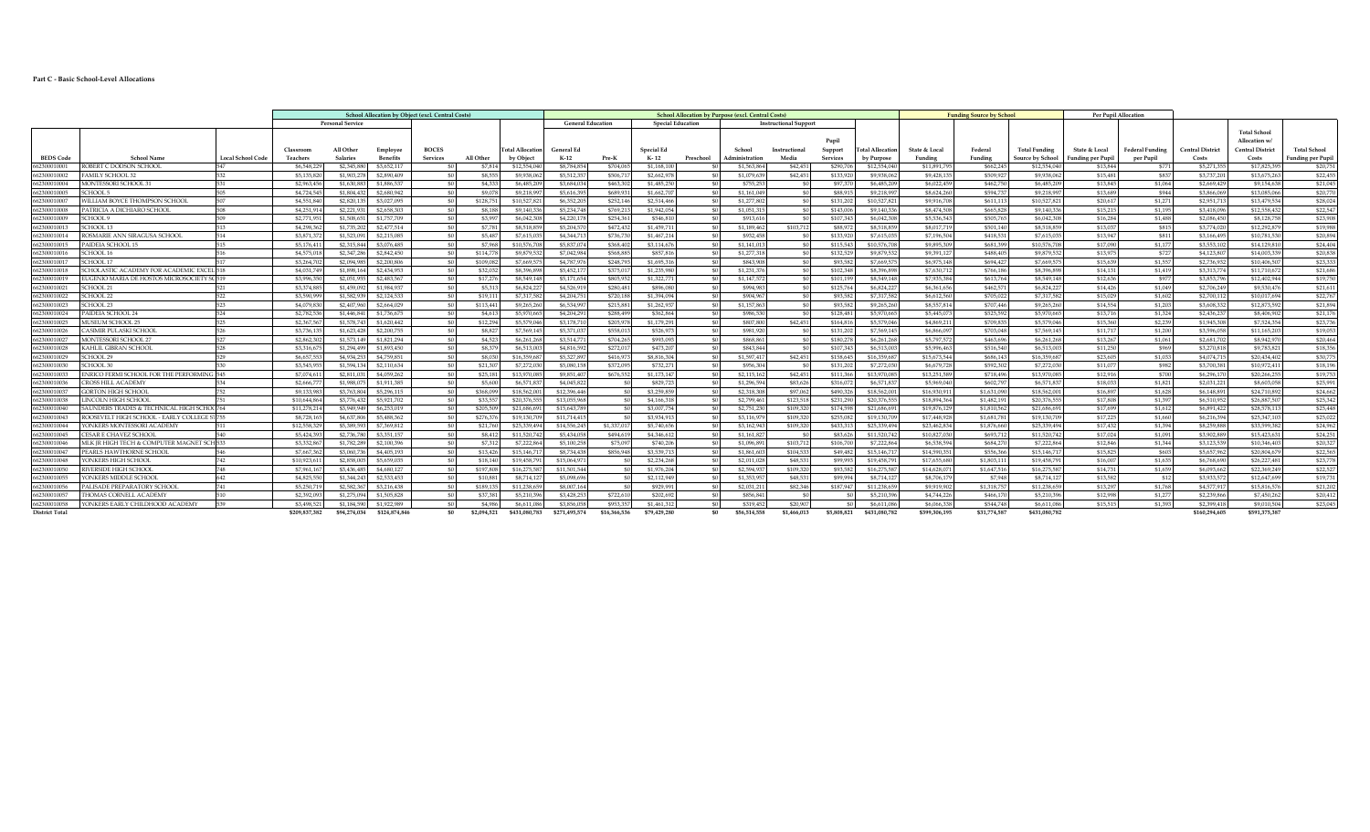## **Part C - Basic School-Level Allocations**

|                             |                                             |                          |                            |                           |                            | School Allocation by Object (excl. Central Costs |                     |                            | <b>School Allocation by Purpose (excl. Central Costs)</b> |                        |                          |                          | <b>Funding Source by School</b> |                       |                        |                            | Per Pupil Allocation       |                        |                            |                      |                        |                            |                                                                |                      |
|-----------------------------|---------------------------------------------|--------------------------|----------------------------|---------------------------|----------------------------|--------------------------------------------------|---------------------|----------------------------|-----------------------------------------------------------|------------------------|--------------------------|--------------------------|---------------------------------|-----------------------|------------------------|----------------------------|----------------------------|------------------------|----------------------------|----------------------|------------------------|----------------------------|----------------------------------------------------------------|----------------------|
|                             |                                             |                          |                            | <b>Personal Service</b>   |                            |                                                  |                     |                            | <b>General Education</b>                                  |                        |                          | <b>Special Education</b> |                                 | Instructional Support |                        |                            |                            |                        |                            |                      |                        |                            |                                                                |                      |
|                             |                                             |                          | Classroon                  | All Other                 | Employee                   | <b>BOCES</b>                                     |                     | <b>Total Allocation</b>    | <b>General Ed</b>                                         |                        | Special Eq               |                          | School                          | Instructional         | Pupil<br>Support       | <b>Total Allocation</b>    | State & Local              | Federal                | <b>Total Funding</b>       | State & Local        | <b>Federal Funding</b> | <b>Central District</b>    | <b>Total School</b><br>Allocation w<br><b>Central District</b> | <b>Total School</b>  |
| <b>BEDS Code</b>            | School Name                                 | <b>Local School Code</b> | Teachers                   | <b>Salaries</b>           | <b>Benefits</b>            | Services                                         | All Other           | by Object                  | $K-12$                                                    | Pre-K                  | K-12                     | Preschool                | Administration                  | Media                 | Services               | by Purpose                 | Funding                    | Funding                | Source by School           | Funding per Pupil    | per Pupil              | Costs                      | Costs                                                          | Funding per Pupil    |
| 562300010001                | ROBERT C DODSON SCHOOL                      | 547                      | \$6,548,229                | \$2,345.88                | \$3,652.117                |                                                  | S7.814              | \$12,554,040               | \$8,784,854                                               | \$704.065              | \$1,168,10               |                          | \$1,563.86                      | \$42.451              | \$290.706              | \$12,554.04                | \$11,891,795               | \$662,245              | \$12,554,040               | \$13.844             | \$771                  | \$5,271,35                 | \$17,825,39                                                    | \$20.75              |
| 662300010002                | AMILY SCHOOL 32                             | 532                      | \$5,135,820                | \$1,903.27                | \$2,890,409                |                                                  | \$8,555             | \$9,938,062                | \$5,512.35                                                | \$506.71               | \$2,662,978              |                          | \$1,079,639                     | \$42.451              | \$133,920              | \$9,938,062                | \$9,428,135                | \$509.927              | \$9,938,062                | \$15.481             | \$837                  | \$3,737,201                | \$13,675,263                                                   | \$22,455             |
| 62300010004                 | MONTESSORI SCHOOL 3                         | 531                      | \$2,963,456                | \$1,630.88                | \$1,886,537                |                                                  | \$4,333             | \$6,485,209                | \$3,684,034                                               | \$463,302              | \$1,485,250              |                          | \$755,253                       | -50                   | S97.370                | \$6,485,209                | \$6,022,459                | \$462,750              | \$6,485,209                | \$13,845             | \$1.064                | \$2,669,429                | \$9,154,638                                                    | \$21.045             |
| 66230001000                 | CHOOL 5                                     | 505                      | \$4,724,54                 | \$1,804.432               | \$2,680,942                |                                                  | \$9,078             | \$9,218.99                 | \$5,616,395                                               | \$689,931              | \$1,662,707              |                          | \$1.161.049                     |                       | S88.91                 | \$9,218,997                | \$8,624,260                | \$594.737              | \$9,218,997                | \$13,689             | \$944                  | \$3,866,069                | \$13,085,066                                                   | \$20,770             |
| 662300010007                | VILLIAM BOYCE THOMPSON SCHOOL               | 507                      | \$4,551,840                | \$2,820,135               | \$3,027,095                |                                                  | \$128,751           | \$10,527,821               | \$6,352,205                                               | \$252.146              | \$2,514,466              |                          | \$1,277,802                     | -90                   | \$131,202              | \$10,527,821               | \$9,916,708                | \$611.113              | \$10,527,821               | \$20.617             | \$1,271                | \$2,951.713                | \$13,479,534                                                   | \$28,024             |
| 662300010008                | 'ATRICIA A DICHIARO SCHOOI                  | 508                      | \$4,251,914                | \$2,221.93                | \$2,658,303                |                                                  | <b>S8.188</b>       | \$9,140,336                | \$5,234,748                                               | \$769.213              | \$1,942.054              |                          | \$1,051,315                     | \$01                  | \$143,006              | \$9,140,336                | \$8,474,508                | \$665.828              | \$9,140,336                | \$15,215             | \$1.195                | \$3,418,096                | \$12,558,432                                                   | \$22,547             |
| 66230001000                 | CHOOL 9                                     | 509                      | \$2,771.951                | \$1,508.65                | \$1,757,709                |                                                  | \$3,997             | \$6,042,308                | \$4,220,178                                               | \$254.361              | \$546.810                |                          | \$913,616                       | - 50                  | \$107,343              | \$6,042,308                | \$5,536,543                | \$505,765              | \$6,042,308                | \$16,284             | \$1,488                | \$2,086.450                | \$8,128,758                                                    | \$23,908             |
| 66230001001                 | CHOOL 13                                    | 513                      | \$4,298,36                 | \$1,735.2                 | \$2,477.514                |                                                  | \$7,781             | \$8,518,859                | \$5,204,570                                               | \$472.432              | \$1,459.71               |                          | \$1,189,462                     | \$103,712             | \$88,972               | \$8,518,859                | \$8,017.719                | \$501.140              | \$8,518,859                | \$13.037             | \$815                  | \$3,774.020                | \$12,292,879                                                   | \$19,988             |
| 66230001001                 | CSMARIE ANN SIRAGUSA SCHOOL                 | 514                      | \$3,871.37                 | \$1,523.09                | \$2,215,085                |                                                  | \$5,487             | \$7,615,03                 | \$4,344.71                                                | \$736.730              | \$1,467,214              |                          | \$932,458                       | - ፍሰ                  | \$133,920              | \$7,615,035                | \$7,196,504                | \$418.531              | \$7,615,035                | \$13.947             | \$811                  | \$3.166.495                | \$10,781,530                                                   | \$20,894             |
| 62300010015                 | 'AIDEIA SCHOOL 15                           | 515                      | \$5,176,41                 | \$2,315,844               | \$3,076,485                |                                                  | \$7,968             | \$10,576,708               | \$5,837,074                                               | \$368,402              | \$3,114,676              |                          | \$1,141,013                     |                       | \$115,543              | \$10,576,708               | \$9,895,309                | \$681.399              | \$10,576,708               | \$17,090             | \$1,17                 | \$3,553,102                | \$14,129,810                                                   | \$24,404             |
| 662300010016                | SCHOOL 16                                   | 516                      | \$4,575,01                 | \$2,347,286               | \$2,842,450                |                                                  | \$114,778           | \$9,879,532                | \$7.042.984                                               | \$568,885              | \$857.816                |                          | \$1,277,318                     | - 50                  | \$132,529              | \$9,879,532                | \$9,391,127                | \$488,405              | \$9,879,532                | \$13,975             | \$727                  | \$4,123,807                | \$14,003,339                                                   | \$20,838             |
| 662300010017                | SCHOOL 17                                   |                          | \$3,264,702                | \$2,094.985               | \$2,200,806                |                                                  | \$109.082           | \$7.669.575                | \$4,787.976                                               | \$248.793              | \$1,695,316              |                          | \$843.908                       | - \$01                | \$93,582               | \$7,669,575                | \$6,975,148                | \$694.427              | \$7,669,575                | \$15.639             | \$1,557                | \$2,736,932                | \$10,406,507                                                   | \$23.333             |
| 66230001001                 | CHOLASTIC ACADEMY FOR ACADEMIC EXCEL 518    |                          | \$4,031,749                | \$1,898.16                | \$2,434,953                |                                                  | \$32,032            | \$8,396,898                | \$5,452,17                                                | \$375.01               | \$1,235,980              |                          | \$1,231,376                     | - \$01                | \$102,348              | \$8,396,898                | \$7,630,712                | \$766.186              | \$8,396,898                | \$14,131             | \$1,419                | \$3,313,774                | \$11,710,672                                                   | \$21,686             |
| 66230001001                 | UGENIO MARIA DE HOSTOS MICROSOCIETY SCÍ51.  |                          | \$3,996,35                 | \$2,051.95                | \$2,483,567                |                                                  | \$17,276            | \$8,549,148                | \$5,171,654                                               | \$805,952              | \$1,322,771              |                          | \$1,147,572                     | -SO I                 | \$101.199              | \$8,549,148                | \$7,935,384                | \$613.764              | \$8,549,148                | \$12.636             | \$977                  | \$3,853,796                | \$12,402.944                                                   | \$19,750             |
| 62300010021                 | SCHOOL 21                                   | 521                      | \$3,374.88                 | \$1,459.09                | \$1,984.937                |                                                  | \$5,313             | \$6,824.22                 | \$4,526,919                                               | \$280.481              | \$896,080                |                          | \$994.983                       | \$01                  | \$125,764              | \$6,824.22                 | \$6,361,656                | \$462.571              | \$6,824,227                | \$14,426             | \$1,049                | \$2,706.249                | \$9,530,476                                                    | \$21.611             |
| 66230001002                 | CHOOL 22                                    | 522<br>523               | \$3,590.99                 | \$1,582.93                | \$2,124,533                |                                                  | \$19,111            | \$7,317,58                 | \$4,204,75                                                | \$720,188              | \$1,394,094              |                          | \$904,967                       | - 50                  | \$93,582               | \$7,317,582                | \$6,612,560                | \$705.022              | \$7,317,582                | \$15,029             | \$1,602                | \$2,700.112                | \$10,017,694                                                   | \$22,767             |
| 662300010023                | CHOOL 23                                    |                          | \$4,079,830                | \$2,407,960               | \$2,664,029                |                                                  | \$113,441           | \$9,265,260                | \$6,534.99                                                | \$215.881              | \$1,262,937              |                          | \$1,157,863                     |                       | \$93,582               | \$9,265,260                | \$8,557.814                | \$707.446              | \$9,265,260                | \$14,554             | \$1,203                | \$3,608,332                | \$12,873,592                                                   | \$21.894             |
| 662300010024<br>66230001002 | AIDEIA SCHOOL 24<br><b>MUSEUM SCHOOL 25</b> | 524<br>525               | \$2,782,536<br>\$2,367,567 | \$1,446.841<br>\$1,578.74 | \$1,736,675<br>\$1,620,442 |                                                  | \$4,613             | \$5,970,665<br>\$5,579,046 | \$4,204,291<br>\$3,178,71                                 | \$288.499<br>\$205.978 | \$362,864<br>\$1,179,291 |                          | \$986,530<br>\$807.800          | \$0                   | \$128,481<br>\$164.816 | \$5,970,665<br>\$5,579,046 | \$5,445,073<br>\$4,869,211 | \$525.592<br>\$709.835 | \$5,970,665<br>\$5,579,046 | \$13,716<br>\$15,360 | \$1,324                | \$2,436.237<br>\$1,945,308 | \$8,406,902<br>\$7,524,354                                     | \$21.17              |
| 662300010026                | CASIMIR PULASKI SCHOOI                      | 526                      | \$3,736.13                 | \$1,623,428               | \$2,200,755                |                                                  | \$12,294<br>\$8,827 | \$7,569.145                | \$5,371,037                                               | \$558.013              | \$526,973                |                          | \$981.920                       | \$42,451<br>\$01      | \$131.20               | \$7,569,145                | \$6,866,097                | \$703.048              | \$7,569,145                | \$11,717             | \$2,239<br>\$1,200     | \$3,596,058                | \$11,165,203                                                   | \$23,736<br>\$19.053 |
| 662300010027                | <b>MONTESSORI SCHOOL 2</b>                  | 527                      | \$2,862,302                | \$1,573.14                | \$1,821,294                |                                                  | \$4,523             | \$6,261,268                | \$3,514.77                                                | \$704.265              | \$993,093                |                          | \$868.861                       | - ፍሰ                  | \$180.278              | \$6,261,268                | \$5,797.572                | \$463,696              | \$6,261,268                | \$13,267             | \$1.061                | \$2,681,702                | \$8,942,970                                                    | \$20.464             |
| 662300010028                | KAHLIL GIBRAN SCHOOL                        | 528                      | \$3,316.67                 | \$1,294.499               | \$1,893,450                |                                                  | \$8,379             | \$6,513,003                | \$4,816,592                                               | \$272.017              | \$473.207                |                          | \$843.844                       |                       | \$107.343              | \$6,513,003                | \$5.996.463                | \$516.540              | \$6,513,003                | \$11,250             | \$969                  | \$3,270,818                | \$9.783.821                                                    | \$18,356             |
| 662300010029                | CHOOL 29                                    | 529                      | \$6,657.55                 | \$4,934,25                | \$4,759,851                |                                                  | \$8,030             | \$16,359,687               | \$5,327,89                                                | \$416.973              | \$8,816,304              |                          | \$1,597.417                     | \$42,451              | \$158,645              | \$16,359,687               | \$15,673,544               | \$686.143              | \$16,359,687               | \$23,605             | \$1,033                | \$4,074,715                | \$20,434,402                                                   | \$30,775             |
| 662300010030                | CHOOL 30                                    |                          | \$3,545,95                 | \$1,594,134               | \$2,110,634                |                                                  | \$21,307            | \$7,272,030                | \$5,080,158                                               | \$372,095              | \$732,27                 |                          | \$956,304                       |                       | \$131,202              | \$7,272,030                | \$6,679,728                | \$592,302              | \$7,272,030                | \$11,077             | \$982                  | \$3,700,381                | \$10,972,411                                                   | \$18,196             |
| 662300010033                | ENRICO FERMI SCHOOL FOR THE PERFORMING 545  |                          | \$7,074.61                 | \$2,811.03                | \$4,059,262                |                                                  | \$25.181            | \$13,970,085               | \$9,851,407                                               | \$676,552              | \$1,173,147              |                          | \$2,115,162                     | \$42.451              | \$111,366              | \$13,970,085               | \$13,251.589               | \$718.496              | \$13,970,085               | \$12,916             | \$700                  | \$6,296,170                | \$20,266,255                                                   | \$19,753             |
| 66230001003                 | <b>ROSS HILL ACADEMY</b>                    |                          | \$2,666.77                 | \$1,988.07                | \$1,911,385                |                                                  | \$5,600             | \$6,571,837                | \$4,045,822                                               |                        | \$829,723                |                          | \$1,296,594                     | \$83.626              | \$316.072              | \$6,571,837                | \$5,969,040                | \$602.797              | \$6,571,837                | \$18,033             | \$1.821                | \$2,031,221                | \$8,603,058                                                    | \$25,991             |
| 66230001003                 | GORTON HIGH SCHOOL                          | 752                      | \$9,133,983                | \$3,763.80                | \$5,296,115                |                                                  | \$368,099           | \$18,562.00                | \$12,396,446                                              |                        | \$3,259,859              |                          | \$2,318,308                     | \$97,062              | \$490,326              | \$18,562,001               | \$16,930,911               | \$1,631,090            | \$18,562,001               | \$16.897             | \$1.628                | \$6,148.891                | \$24,710,892                                                   | \$24,662             |
| 66230001003                 | LINCOLN HIGH SCHOOL                         |                          | \$10,644.86                | \$3,776,432               | \$5,921,702                |                                                  | \$33,557            | \$20,376,55                | \$13,055,968                                              |                        | \$4,166,318              |                          | \$2,799.46                      | \$123,518             | \$231.290              | \$20,376,555               | \$18,894,364               | \$1,482.191            | \$20,376,555               | \$17,808             | \$1,397                | \$6,510,952                | \$26,887,507                                                   | \$25,342             |
| 62300010040                 | SAUNDERS TRADES & TECHNICAL HIGH SCHOO76    |                          | \$11,278.21                | \$3,949.949               | \$6,253,019                |                                                  | \$205,509           | \$21,686.69                | \$15,643,789                                              |                        | \$3,007.754              |                          | \$2,751,230                     | \$109,320             | \$174,598              | \$21,686,69                | \$19,876,129               | \$1,810,562            | \$21,686,691               | \$17,699             | \$1.612                | \$6,891,422                | \$28,578,113                                                   | \$25,448             |
| 662300010043                | ROOSEVELT HIGH SCHOOL - EARLY COLLEGE ST755 |                          | \$8,728,16                 | \$4,637,806               | \$5,488,362                |                                                  | \$276,376           | \$19,130,709               | \$11,714,415                                              |                        | \$3,934.913              |                          | \$3,116,979                     | \$109,320             | \$255,082              | \$19,130,709               | \$17,448,928               | \$1,681.781            | \$19,130,709               | \$17,225             | \$1,660                | \$6,216,394                | \$25,347,103                                                   | \$25,022             |
| 662300010044                | ONKERS MONTESSORI ACADEMY                   | 511                      | \$12,558,329               | \$5,389,593               | \$7,369,812                |                                                  | \$21.760            | \$25,339,494               | \$14,556,245                                              | \$1,337.017            | \$5,740,656              |                          | \$3,162,943                     | \$109,320             | \$433,313              | \$25,339,494               | \$23,462,834               | \$1,876,660            | \$25,339,494               | \$17,432             | \$1,394                | \$8,259,888                | \$33,599,382                                                   | \$24,962             |
| 662300010045                | ESAR E CHAVEZ SCHOOL                        | 540                      | \$5,424.39                 | \$2,736,780               | \$3,351,157                |                                                  | \$8,412             | \$11,520,742               | \$5,434,058                                               | \$494.619              | \$4,346,612              |                          | \$1,161.827                     | - 50                  | \$83,626               | \$11,520,742               | \$10,827,030               | \$693,712              | \$11,520,742               | \$17,024             | \$1.091                | \$3,902.889                | \$15,423,631                                                   | \$24,251             |
| 66230001004                 | MLK JR HIGH TECH & COMPUTER MAGNET SCH 533  |                          | \$3,332,867                | \$1,782.2                 | \$2,100,396                |                                                  | \$7,312             | \$7,222,864                | \$5,100,258                                               | \$75.09                | \$740,206                |                          | \$1,096.891                     | \$103,712             | \$106,700              | \$7,222,864                | \$6,538,594                | \$684,270              | \$7,222,864                | \$12,846             | \$1,344                | \$3,123,539                | \$10,346,403                                                   | \$20,327             |
| 662300010047                | PEARLS HAWTHORNE SCHOOL                     | 546                      | \$7,667,362                | \$3,060.73                | \$4,405,193                |                                                  | \$13.426            | \$15,146.71                | \$8,734,438                                               | \$856,948              | \$3,539.713              |                          | \$1,861,603                     | \$104,533             | \$49,482               | \$15,146,71                | \$14,590,351               | \$556,366              | \$15,146.71                | \$15,825             | \$603                  | \$5,657,962                | \$20,804,679                                                   | \$22,565             |
| 66230001004                 | ONKERS HIGH SCHOOL                          | 742                      | \$10,923.61                | \$2,858.00                | \$5,659,035                |                                                  | \$18,140            | \$19,458.79                | \$15,064.97                                               |                        | \$2,234,268              |                          | \$2,011.028                     | \$48,531              | \$99,993               | \$19,458.79                | \$17,655,680               | \$1,803.11             | \$19,458.791               | \$16,007             | \$1,635                | \$6,768,690                | \$26,227,481                                                   | \$23,778             |
| 662300010050                | RIVERSIDE HIGH SCHOOL                       | 748                      | \$7,961.16                 | \$3,436,485               | \$4,680,127                |                                                  | \$197,808           | \$16,275,58                | \$11,501,544                                              |                        | \$1,976.204              |                          | \$2,594,93                      | \$109,320             | \$93,582               | \$16,275,58                | \$14,628,071               | \$1,647.516            | \$16,275,587               | \$14,731             | \$1,659                | \$6,093,662                | \$22,369.249                                                   | \$22,527             |
| 662300010055                | <b>CONKERS MIDDLE SCHOOL</b>                | 642                      | \$4,825,55                 | \$1,344,243               | \$2,533,453                |                                                  | \$10,881            | \$8,714.127                | \$5,098,696                                               |                        | \$2,112,949              |                          | \$1,353,957                     | \$48,531              | \$99.994               | \$8,714,127                | \$8,706.179                | \$7,948                | \$8,714,127                | \$13,582             | \$12                   | \$3,933,572                | \$12,647,699                                                   | \$19,731             |
| 662300010056                | PALISADE PREPARATORY SCHOOL                 | 741                      | \$5,250.71                 | \$2,582.36                | \$3,216,438                |                                                  | \$189.135           | \$11,238,659               | \$8,007.164                                               |                        | \$929,991                |                          | \$2,031.211                     | \$82,346              | \$187.947              | \$11,238,659               | \$9,919,902                | \$1,318,757            | \$11,238,659               | \$13,297             | \$1.768                | \$4,577.917                | \$15,816,576                                                   | \$21,202             |
| 662300010057                | <b>HOMAS CORNELL ACADEMY</b>                |                          | \$2,392.09                 | \$1,275.09                | \$1,505.828                |                                                  | \$37,381            | \$5,210,396                | \$3,428,253                                               | \$722.610              | \$202,692                |                          | \$856.84                        | - 50                  |                        | \$5,210,396                | \$4,744,226                | \$466.170              | \$5,210,396                | \$12,998             | \$1,27                 | \$2,239,866                | \$7,450,262                                                    | \$20,412             |
| 662300010058                | YONKERS EARLY CHILDHOOD ACADEMY             |                          | \$3,498.52                 | \$1,184.59                | \$1,922,989                |                                                  | \$4,986             | \$6.611.086                | \$3,856,058                                               | \$953,357              | \$1,461,312              |                          | \$319.452                       | \$20,907              |                        | \$6,611,086                | \$6,066,338                | \$544.748              | \$6,611,086                | \$15,515             | \$1,393                | \$2,399.418                | \$9,010,504                                                    | \$23.045             |
| <b>District Total</b>       |                                             |                          | \$209,837,382              | \$94.274.034              | \$124,874,846              | -SO                                              | \$2,094.521         | <b>3431.080.783</b>        | \$271.495.574                                             | \$16,366,536           | \$79,429,280             | ς۵                       | \$56,514,558                    | 1.466.013             | \$5,808,821            | \$431,080,782              | \$399,306.195              | \$31,774,587           | \$431,080,782              |                      |                        | \$160.294.605              | \$591,375,387                                                  |                      |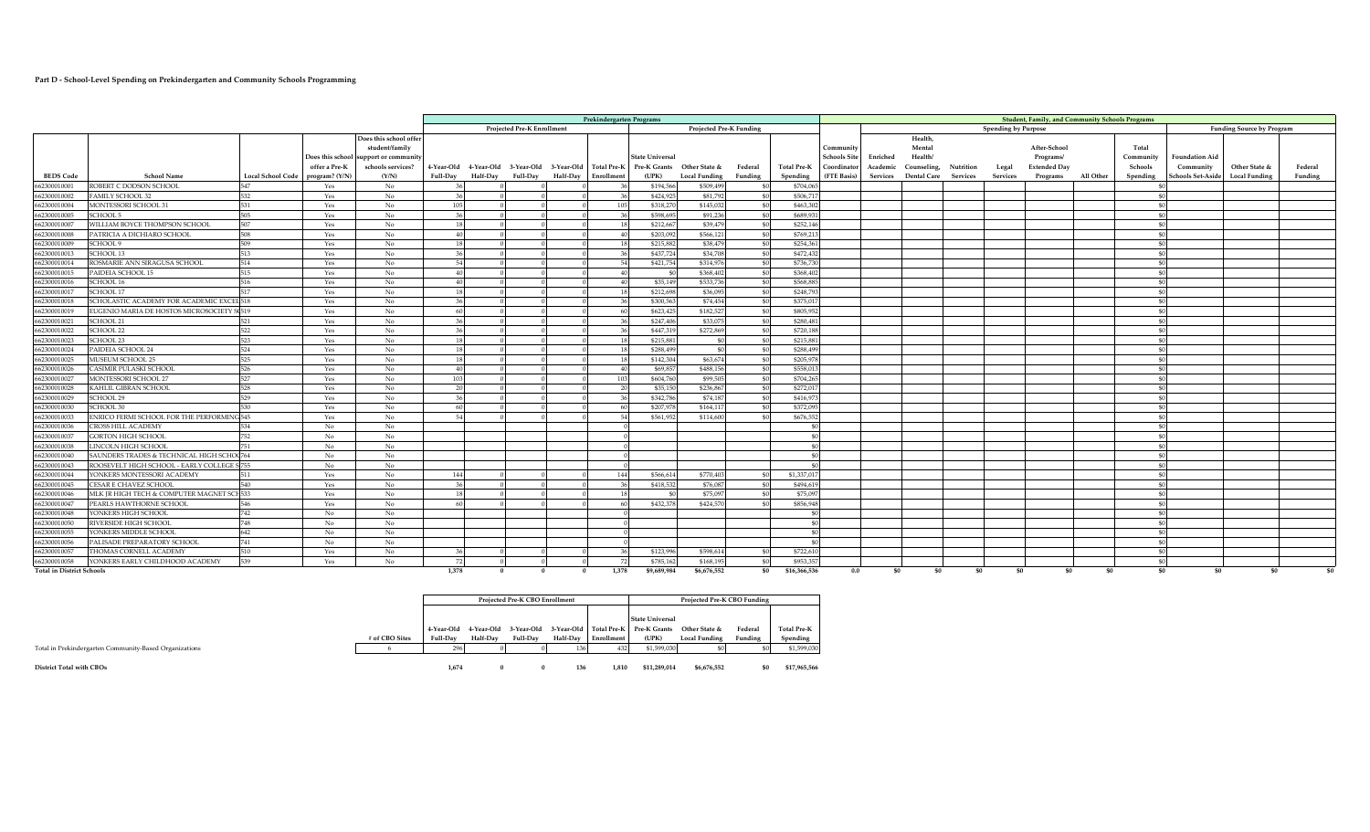## **Part D - School-Level Spending on Prekindergarten and Community Schools Programming**

| Projected Pre-K Enrollment<br><b>Projected Pre-K Funding</b><br><b>Spending by Purpose</b><br><b>Funding Source by Program</b><br>Does this school offer<br>Health,<br>student/family<br>After-School<br>Mental<br>Total<br>Community<br><b>Schools Site</b><br>Health/<br>Does this school support or community<br><b>State Universal</b><br>Enriched<br><b>Foundation Aid</b><br>Programs/<br>Community<br>schools services?<br>4-Year-Old 4-Year-Old 3-Year-Old 3-Year-Old Total Pre-K<br>Other State &<br><b>Extended Day</b><br>Other State &<br>offer a Pre-K<br>Pre-K Grants<br><b>Total Pre-K</b><br>Coordinator<br>Counseling,<br>Schools<br>Community<br>Federal<br>Academic<br>Nutrition<br>Legal<br>Federal<br><b>BEDS Code</b><br><b>School Name</b><br>(Y/N)<br>(UPK)<br>Spending<br>(FTE Basis)<br>chools Set-Aside<br><b>Local School Code</b><br>program? (Y/N)<br><b>Full-Day</b><br><b>Half-Dav</b><br><b>Full-Day</b><br>Half-Day Enrollment<br><b>Local Funding</b><br>Funding<br>Services Dental Care Services<br>Services<br>Programs<br>All Other<br>Spending<br><b>Local Funding</b><br>Funding<br>ROBERT C DODSON SCHOOL<br>547<br>No<br>\$194,566<br>\$509,499<br>\$704,065<br>662300010001<br>Yes<br>532<br>662300010002<br>AMILY SCHOOL 32<br>No<br>\$424,92<br>\$81,792<br>\$506,71<br>Yes<br>-36<br>- ፍብ<br>No<br>\$145,03<br>\$463,302<br>662300010004<br>MONTESSORI SCHOOL 31<br>531<br>105<br>\$318,270<br>Yes<br>- ፍብ<br>662300010005<br>505<br>\$598,695<br>SCHOOL 5<br>Yes<br>No<br>\$91,236<br>\$689,93<br>-36<br>507<br>662300010007<br>WILLIAM BOYCE THOMPSON SCHOOL<br>Yes<br>No<br>\$212,667<br>\$39,479<br>\$252,14<br>-18<br>- 40<br>\$203,092<br>\$566,121<br>662300010008<br>PATRICIA A DICHIARO SCHOOL<br>508<br>Yes<br>No<br>\$769.21<br>40<br>509<br>No<br>662300010009<br>SCHOOL 9<br>Yes<br>\$215,882<br>\$38,479<br>\$254,36<br>513<br>No<br>\$437,72<br>\$34,70<br>\$472,432<br>662300010013<br>SCHOOL 13<br>Yes<br>514<br>\$421,754<br>\$314,97<br>\$736,73<br>662300010014<br>ROSMARIE ANN SIRAGUSA SCHOOL<br>Yes<br>No<br>515<br>662300010015<br>No<br>\$368,402<br>\$368,402<br>PAIDEIA SCHOOL 15<br>Yes<br>- 50<br>662300010016<br>SCHOOL 16<br>516<br>No<br>\$35,149<br>\$533.73<br>\$568.88<br>Yes<br>40<br>$\Delta$ 0<br>- 40<br>517<br>\$212,698<br>\$248.79<br>662300010017<br>SCHOOL 17<br>No<br>\$36,095<br>Yes<br>-40<br>18<br>SCHOLASTIC ACADEMY FOR ACADEMIC EXCEL 518<br>No<br>\$300,563<br>\$74,454<br>\$375.0<br>662300010018<br>Yes<br>-36<br>EUGENIO MARIA DE HOSTOS MICROSOCIETY S 519<br>No<br>\$623,42<br>\$182,52<br>\$805.95<br>662300010019<br>Yes<br>662300010021<br>SCHOOL 21<br>521<br>No<br>\$247,406<br>\$33,07<br>\$280.48<br>Yes<br>-36<br>SCHOOL 22<br>522<br>No<br>\$447.31<br>\$272,869<br>\$720.18<br>662300010022<br>Yes<br>36<br>523<br>No<br>\$215.88<br>SCHOOL 23<br>Yes<br>\$215,887<br>662300010023<br>524<br>\$288,49<br>662300010024<br>AIDEIA SCHOOL 24<br>Yes<br>No<br>\$288,499<br>$\leq$<br>525<br>\$205.97<br>662300010025<br>MUSEUM SCHOOL 25<br>Yes<br>No<br>\$142,304<br>\$63,674<br>- 40<br>\$488,156<br>\$558.01<br>662300010026<br>CASIMIR PULASKI SCHOOL<br>526<br>No<br>\$69,857<br>Yes<br>-40<br>- ፍብ<br>527<br>662300010027<br>\$604,760<br>\$99,505<br>\$704,26<br>MONTESSORI SCHOOL 27<br>Yes<br>No<br>103<br>- 91<br>\$236.86<br>662300010028<br>KAHLIL GIBRAN SCHOOL<br>528<br>Yes<br>No<br>20<br>\$35,150<br>\$272,01<br>- 40<br>529<br>662300010029<br>SCHOOL 29<br>No<br>\$342,786<br>\$74,187<br>\$416,97<br>Yes<br>36<br>No<br>\$207,978<br>\$164,11<br>\$372,09<br>662300010030<br>SCHOOL 30<br>530<br>Yes<br>60<br>No<br>662300010033<br>NRICO FERMI SCHOOL FOR THE PERFORMING 545<br>\$561.952<br>\$114,600<br>\$676,55<br>Yes<br>No<br>662300010036<br><b>TROSS HILL ACADEMY</b><br>534<br>No<br>662300010037<br>752<br>No<br>No<br><b>GORTON HIGH SCHOOL</b><br><b>No</b><br>No<br>662300010038<br>LINCOLN HIGH SCHOOL<br>751<br>\$0<br>662300010040<br>SAUNDERS TRADES & TECHNICAL HIGH SCHOC764<br><b>No</b><br>No<br>\$0<br>- 40<br>ROOSEVELT HIGH SCHOOL - EARLY COLLEGE S 755<br>662300010043<br>No<br>No<br>\$0<br>YONKERS MONTESSORI ACADEMY<br>No<br>\$566.614<br>\$770.40<br>\$1,337.01<br>662300010044<br>511<br>Yes<br>144<br>662300010045<br>CESAR E CHAVEZ SCHOOL<br>540<br>No<br>\$418,532<br>\$76,087<br>\$494,61<br>Yes<br>-36<br>MLK IR HIGH TECH & COMPUTER MAGNET SCH 533<br>No<br>\$75.09<br>\$75.09<br>662300010046<br>Yes<br>No<br>662300010047<br>546<br>Yes<br>\$432,378<br>\$424,57<br>\$856.94<br>PEARLS HAWTHORNE SCHOO<br>742<br>No<br>662300010048<br>ONKERS HIGH SCHOOL<br>No<br>748<br>No<br>662300010050<br>IVERSIDE HIGH SCHOOL<br>No<br>\$0<br>- ፍብ<br>642<br>662300010055<br>ONKERS MIDDLE SCHOOL<br>No<br>No<br>\$0<br>- 40<br>662300010056<br>PALISADE PREPARATORY SCHOOL<br>741<br>No.<br>No<br>-40<br>- 40<br>510<br><b>HOMAS CORNELL ACADEMY</b><br>662300010057<br>Yes<br>No<br>\$123,996<br>\$598.614<br>\$722,61<br>539<br>662300010058<br>\$785,16<br>\$953.3<br>YONKERS EARLY CHILDHOOD ACADEMY<br>Yes<br>No<br>72<br>\$168.19<br>\$0<br><b>Total in District Schools</b><br>1,378<br>0.0<br>\$0<br>\$0<br>S <sub>0</sub><br>\$0<br>-50<br>\$0<br>\$0<br>$\mathbf{0}$<br>\$0<br>\$0<br>$\mathbf{0}$<br>$\mathbf{0}$ |  |  | Prekindergarten Programs |  |  |  |       |             |             |  | Student, Family, and Community Schools Programs |  |  |  |  |  |  |     |  |  |  |  |
|-------------------------------------------------------------------------------------------------------------------------------------------------------------------------------------------------------------------------------------------------------------------------------------------------------------------------------------------------------------------------------------------------------------------------------------------------------------------------------------------------------------------------------------------------------------------------------------------------------------------------------------------------------------------------------------------------------------------------------------------------------------------------------------------------------------------------------------------------------------------------------------------------------------------------------------------------------------------------------------------------------------------------------------------------------------------------------------------------------------------------------------------------------------------------------------------------------------------------------------------------------------------------------------------------------------------------------------------------------------------------------------------------------------------------------------------------------------------------------------------------------------------------------------------------------------------------------------------------------------------------------------------------------------------------------------------------------------------------------------------------------------------------------------------------------------------------------------------------------------------------------------------------------------------------------------------------------------------------------------------------------------------------------------------------------------------------------------------------------------------------------------------------------------------------------------------------------------------------------------------------------------------------------------------------------------------------------------------------------------------------------------------------------------------------------------------------------------------------------------------------------------------------------------------------------------------------------------------------------------------------------------------------------------------------------------------------------------------------------------------------------------------------------------------------------------------------------------------------------------------------------------------------------------------------------------------------------------------------------------------------------------------------------------------------------------------------------------------------------------------------------------------------------------------------------------------------------------------------------------------------------------------------------------------------------------------------------------------------------------------------------------------------------------------------------------------------------------------------------------------------------------------------------------------------------------------------------------------------------------------------------------------------------------------------------------------------------------------------------------------------------------------------------------------------------------------------------------------------------------------------------------------------------------------------------------------------------------------------------------------------------------------------------------------------------------------------------------------------------------------------------------------------------------------------------------------------------------------------------------------------------------------------------------------------------------------------------------------------------------------------------------------------------------------------------------------------------------------------------------------------------------------------------------------------------------------------------------------------------------------------------------------------------------------------------------------------------------------------------------------------------------------------------------------------------------------------------------------------------------------------------------------------------------------------------------------------------------------------------------------------------------------------------------------------------------------------------------------------------------------------------------------------------------------------------------------------------------------------------------------------------------------------------------------------|--|--|--------------------------|--|--|--|-------|-------------|-------------|--|-------------------------------------------------|--|--|--|--|--|--|-----|--|--|--|--|
|                                                                                                                                                                                                                                                                                                                                                                                                                                                                                                                                                                                                                                                                                                                                                                                                                                                                                                                                                                                                                                                                                                                                                                                                                                                                                                                                                                                                                                                                                                                                                                                                                                                                                                                                                                                                                                                                                                                                                                                                                                                                                                                                                                                                                                                                                                                                                                                                                                                                                                                                                                                                                                                                                                                                                                                                                                                                                                                                                                                                                                                                                                                                                                                                                                                                                                                                                                                                                                                                                                                                                                                                                                                                                                                                                                                                                                                                                                                                                                                                                                                                                                                                                                                                                                                                                                                                                                                                                                                                                                                                                                                                                                                                                                                                                                                                                                                                                                                                                                                                                                                                                                                                                                                                                                                                                                 |  |  |                          |  |  |  |       |             |             |  |                                                 |  |  |  |  |  |  |     |  |  |  |  |
|                                                                                                                                                                                                                                                                                                                                                                                                                                                                                                                                                                                                                                                                                                                                                                                                                                                                                                                                                                                                                                                                                                                                                                                                                                                                                                                                                                                                                                                                                                                                                                                                                                                                                                                                                                                                                                                                                                                                                                                                                                                                                                                                                                                                                                                                                                                                                                                                                                                                                                                                                                                                                                                                                                                                                                                                                                                                                                                                                                                                                                                                                                                                                                                                                                                                                                                                                                                                                                                                                                                                                                                                                                                                                                                                                                                                                                                                                                                                                                                                                                                                                                                                                                                                                                                                                                                                                                                                                                                                                                                                                                                                                                                                                                                                                                                                                                                                                                                                                                                                                                                                                                                                                                                                                                                                                                 |  |  |                          |  |  |  |       |             |             |  |                                                 |  |  |  |  |  |  |     |  |  |  |  |
|                                                                                                                                                                                                                                                                                                                                                                                                                                                                                                                                                                                                                                                                                                                                                                                                                                                                                                                                                                                                                                                                                                                                                                                                                                                                                                                                                                                                                                                                                                                                                                                                                                                                                                                                                                                                                                                                                                                                                                                                                                                                                                                                                                                                                                                                                                                                                                                                                                                                                                                                                                                                                                                                                                                                                                                                                                                                                                                                                                                                                                                                                                                                                                                                                                                                                                                                                                                                                                                                                                                                                                                                                                                                                                                                                                                                                                                                                                                                                                                                                                                                                                                                                                                                                                                                                                                                                                                                                                                                                                                                                                                                                                                                                                                                                                                                                                                                                                                                                                                                                                                                                                                                                                                                                                                                                                 |  |  |                          |  |  |  |       |             |             |  |                                                 |  |  |  |  |  |  |     |  |  |  |  |
|                                                                                                                                                                                                                                                                                                                                                                                                                                                                                                                                                                                                                                                                                                                                                                                                                                                                                                                                                                                                                                                                                                                                                                                                                                                                                                                                                                                                                                                                                                                                                                                                                                                                                                                                                                                                                                                                                                                                                                                                                                                                                                                                                                                                                                                                                                                                                                                                                                                                                                                                                                                                                                                                                                                                                                                                                                                                                                                                                                                                                                                                                                                                                                                                                                                                                                                                                                                                                                                                                                                                                                                                                                                                                                                                                                                                                                                                                                                                                                                                                                                                                                                                                                                                                                                                                                                                                                                                                                                                                                                                                                                                                                                                                                                                                                                                                                                                                                                                                                                                                                                                                                                                                                                                                                                                                                 |  |  |                          |  |  |  |       |             |             |  |                                                 |  |  |  |  |  |  |     |  |  |  |  |
|                                                                                                                                                                                                                                                                                                                                                                                                                                                                                                                                                                                                                                                                                                                                                                                                                                                                                                                                                                                                                                                                                                                                                                                                                                                                                                                                                                                                                                                                                                                                                                                                                                                                                                                                                                                                                                                                                                                                                                                                                                                                                                                                                                                                                                                                                                                                                                                                                                                                                                                                                                                                                                                                                                                                                                                                                                                                                                                                                                                                                                                                                                                                                                                                                                                                                                                                                                                                                                                                                                                                                                                                                                                                                                                                                                                                                                                                                                                                                                                                                                                                                                                                                                                                                                                                                                                                                                                                                                                                                                                                                                                                                                                                                                                                                                                                                                                                                                                                                                                                                                                                                                                                                                                                                                                                                                 |  |  |                          |  |  |  |       |             |             |  |                                                 |  |  |  |  |  |  |     |  |  |  |  |
|                                                                                                                                                                                                                                                                                                                                                                                                                                                                                                                                                                                                                                                                                                                                                                                                                                                                                                                                                                                                                                                                                                                                                                                                                                                                                                                                                                                                                                                                                                                                                                                                                                                                                                                                                                                                                                                                                                                                                                                                                                                                                                                                                                                                                                                                                                                                                                                                                                                                                                                                                                                                                                                                                                                                                                                                                                                                                                                                                                                                                                                                                                                                                                                                                                                                                                                                                                                                                                                                                                                                                                                                                                                                                                                                                                                                                                                                                                                                                                                                                                                                                                                                                                                                                                                                                                                                                                                                                                                                                                                                                                                                                                                                                                                                                                                                                                                                                                                                                                                                                                                                                                                                                                                                                                                                                                 |  |  |                          |  |  |  |       |             |             |  |                                                 |  |  |  |  |  |  |     |  |  |  |  |
|                                                                                                                                                                                                                                                                                                                                                                                                                                                                                                                                                                                                                                                                                                                                                                                                                                                                                                                                                                                                                                                                                                                                                                                                                                                                                                                                                                                                                                                                                                                                                                                                                                                                                                                                                                                                                                                                                                                                                                                                                                                                                                                                                                                                                                                                                                                                                                                                                                                                                                                                                                                                                                                                                                                                                                                                                                                                                                                                                                                                                                                                                                                                                                                                                                                                                                                                                                                                                                                                                                                                                                                                                                                                                                                                                                                                                                                                                                                                                                                                                                                                                                                                                                                                                                                                                                                                                                                                                                                                                                                                                                                                                                                                                                                                                                                                                                                                                                                                                                                                                                                                                                                                                                                                                                                                                                 |  |  |                          |  |  |  |       |             |             |  |                                                 |  |  |  |  |  |  |     |  |  |  |  |
|                                                                                                                                                                                                                                                                                                                                                                                                                                                                                                                                                                                                                                                                                                                                                                                                                                                                                                                                                                                                                                                                                                                                                                                                                                                                                                                                                                                                                                                                                                                                                                                                                                                                                                                                                                                                                                                                                                                                                                                                                                                                                                                                                                                                                                                                                                                                                                                                                                                                                                                                                                                                                                                                                                                                                                                                                                                                                                                                                                                                                                                                                                                                                                                                                                                                                                                                                                                                                                                                                                                                                                                                                                                                                                                                                                                                                                                                                                                                                                                                                                                                                                                                                                                                                                                                                                                                                                                                                                                                                                                                                                                                                                                                                                                                                                                                                                                                                                                                                                                                                                                                                                                                                                                                                                                                                                 |  |  |                          |  |  |  |       |             |             |  |                                                 |  |  |  |  |  |  |     |  |  |  |  |
|                                                                                                                                                                                                                                                                                                                                                                                                                                                                                                                                                                                                                                                                                                                                                                                                                                                                                                                                                                                                                                                                                                                                                                                                                                                                                                                                                                                                                                                                                                                                                                                                                                                                                                                                                                                                                                                                                                                                                                                                                                                                                                                                                                                                                                                                                                                                                                                                                                                                                                                                                                                                                                                                                                                                                                                                                                                                                                                                                                                                                                                                                                                                                                                                                                                                                                                                                                                                                                                                                                                                                                                                                                                                                                                                                                                                                                                                                                                                                                                                                                                                                                                                                                                                                                                                                                                                                                                                                                                                                                                                                                                                                                                                                                                                                                                                                                                                                                                                                                                                                                                                                                                                                                                                                                                                                                 |  |  |                          |  |  |  |       |             |             |  |                                                 |  |  |  |  |  |  |     |  |  |  |  |
|                                                                                                                                                                                                                                                                                                                                                                                                                                                                                                                                                                                                                                                                                                                                                                                                                                                                                                                                                                                                                                                                                                                                                                                                                                                                                                                                                                                                                                                                                                                                                                                                                                                                                                                                                                                                                                                                                                                                                                                                                                                                                                                                                                                                                                                                                                                                                                                                                                                                                                                                                                                                                                                                                                                                                                                                                                                                                                                                                                                                                                                                                                                                                                                                                                                                                                                                                                                                                                                                                                                                                                                                                                                                                                                                                                                                                                                                                                                                                                                                                                                                                                                                                                                                                                                                                                                                                                                                                                                                                                                                                                                                                                                                                                                                                                                                                                                                                                                                                                                                                                                                                                                                                                                                                                                                                                 |  |  |                          |  |  |  |       |             |             |  |                                                 |  |  |  |  |  |  |     |  |  |  |  |
|                                                                                                                                                                                                                                                                                                                                                                                                                                                                                                                                                                                                                                                                                                                                                                                                                                                                                                                                                                                                                                                                                                                                                                                                                                                                                                                                                                                                                                                                                                                                                                                                                                                                                                                                                                                                                                                                                                                                                                                                                                                                                                                                                                                                                                                                                                                                                                                                                                                                                                                                                                                                                                                                                                                                                                                                                                                                                                                                                                                                                                                                                                                                                                                                                                                                                                                                                                                                                                                                                                                                                                                                                                                                                                                                                                                                                                                                                                                                                                                                                                                                                                                                                                                                                                                                                                                                                                                                                                                                                                                                                                                                                                                                                                                                                                                                                                                                                                                                                                                                                                                                                                                                                                                                                                                                                                 |  |  |                          |  |  |  |       |             |             |  |                                                 |  |  |  |  |  |  |     |  |  |  |  |
|                                                                                                                                                                                                                                                                                                                                                                                                                                                                                                                                                                                                                                                                                                                                                                                                                                                                                                                                                                                                                                                                                                                                                                                                                                                                                                                                                                                                                                                                                                                                                                                                                                                                                                                                                                                                                                                                                                                                                                                                                                                                                                                                                                                                                                                                                                                                                                                                                                                                                                                                                                                                                                                                                                                                                                                                                                                                                                                                                                                                                                                                                                                                                                                                                                                                                                                                                                                                                                                                                                                                                                                                                                                                                                                                                                                                                                                                                                                                                                                                                                                                                                                                                                                                                                                                                                                                                                                                                                                                                                                                                                                                                                                                                                                                                                                                                                                                                                                                                                                                                                                                                                                                                                                                                                                                                                 |  |  |                          |  |  |  |       |             |             |  |                                                 |  |  |  |  |  |  |     |  |  |  |  |
|                                                                                                                                                                                                                                                                                                                                                                                                                                                                                                                                                                                                                                                                                                                                                                                                                                                                                                                                                                                                                                                                                                                                                                                                                                                                                                                                                                                                                                                                                                                                                                                                                                                                                                                                                                                                                                                                                                                                                                                                                                                                                                                                                                                                                                                                                                                                                                                                                                                                                                                                                                                                                                                                                                                                                                                                                                                                                                                                                                                                                                                                                                                                                                                                                                                                                                                                                                                                                                                                                                                                                                                                                                                                                                                                                                                                                                                                                                                                                                                                                                                                                                                                                                                                                                                                                                                                                                                                                                                                                                                                                                                                                                                                                                                                                                                                                                                                                                                                                                                                                                                                                                                                                                                                                                                                                                 |  |  |                          |  |  |  |       |             |             |  |                                                 |  |  |  |  |  |  |     |  |  |  |  |
|                                                                                                                                                                                                                                                                                                                                                                                                                                                                                                                                                                                                                                                                                                                                                                                                                                                                                                                                                                                                                                                                                                                                                                                                                                                                                                                                                                                                                                                                                                                                                                                                                                                                                                                                                                                                                                                                                                                                                                                                                                                                                                                                                                                                                                                                                                                                                                                                                                                                                                                                                                                                                                                                                                                                                                                                                                                                                                                                                                                                                                                                                                                                                                                                                                                                                                                                                                                                                                                                                                                                                                                                                                                                                                                                                                                                                                                                                                                                                                                                                                                                                                                                                                                                                                                                                                                                                                                                                                                                                                                                                                                                                                                                                                                                                                                                                                                                                                                                                                                                                                                                                                                                                                                                                                                                                                 |  |  |                          |  |  |  |       |             |             |  |                                                 |  |  |  |  |  |  |     |  |  |  |  |
|                                                                                                                                                                                                                                                                                                                                                                                                                                                                                                                                                                                                                                                                                                                                                                                                                                                                                                                                                                                                                                                                                                                                                                                                                                                                                                                                                                                                                                                                                                                                                                                                                                                                                                                                                                                                                                                                                                                                                                                                                                                                                                                                                                                                                                                                                                                                                                                                                                                                                                                                                                                                                                                                                                                                                                                                                                                                                                                                                                                                                                                                                                                                                                                                                                                                                                                                                                                                                                                                                                                                                                                                                                                                                                                                                                                                                                                                                                                                                                                                                                                                                                                                                                                                                                                                                                                                                                                                                                                                                                                                                                                                                                                                                                                                                                                                                                                                                                                                                                                                                                                                                                                                                                                                                                                                                                 |  |  |                          |  |  |  |       |             |             |  |                                                 |  |  |  |  |  |  |     |  |  |  |  |
|                                                                                                                                                                                                                                                                                                                                                                                                                                                                                                                                                                                                                                                                                                                                                                                                                                                                                                                                                                                                                                                                                                                                                                                                                                                                                                                                                                                                                                                                                                                                                                                                                                                                                                                                                                                                                                                                                                                                                                                                                                                                                                                                                                                                                                                                                                                                                                                                                                                                                                                                                                                                                                                                                                                                                                                                                                                                                                                                                                                                                                                                                                                                                                                                                                                                                                                                                                                                                                                                                                                                                                                                                                                                                                                                                                                                                                                                                                                                                                                                                                                                                                                                                                                                                                                                                                                                                                                                                                                                                                                                                                                                                                                                                                                                                                                                                                                                                                                                                                                                                                                                                                                                                                                                                                                                                                 |  |  |                          |  |  |  |       |             |             |  |                                                 |  |  |  |  |  |  |     |  |  |  |  |
|                                                                                                                                                                                                                                                                                                                                                                                                                                                                                                                                                                                                                                                                                                                                                                                                                                                                                                                                                                                                                                                                                                                                                                                                                                                                                                                                                                                                                                                                                                                                                                                                                                                                                                                                                                                                                                                                                                                                                                                                                                                                                                                                                                                                                                                                                                                                                                                                                                                                                                                                                                                                                                                                                                                                                                                                                                                                                                                                                                                                                                                                                                                                                                                                                                                                                                                                                                                                                                                                                                                                                                                                                                                                                                                                                                                                                                                                                                                                                                                                                                                                                                                                                                                                                                                                                                                                                                                                                                                                                                                                                                                                                                                                                                                                                                                                                                                                                                                                                                                                                                                                                                                                                                                                                                                                                                 |  |  |                          |  |  |  |       |             |             |  |                                                 |  |  |  |  |  |  |     |  |  |  |  |
|                                                                                                                                                                                                                                                                                                                                                                                                                                                                                                                                                                                                                                                                                                                                                                                                                                                                                                                                                                                                                                                                                                                                                                                                                                                                                                                                                                                                                                                                                                                                                                                                                                                                                                                                                                                                                                                                                                                                                                                                                                                                                                                                                                                                                                                                                                                                                                                                                                                                                                                                                                                                                                                                                                                                                                                                                                                                                                                                                                                                                                                                                                                                                                                                                                                                                                                                                                                                                                                                                                                                                                                                                                                                                                                                                                                                                                                                                                                                                                                                                                                                                                                                                                                                                                                                                                                                                                                                                                                                                                                                                                                                                                                                                                                                                                                                                                                                                                                                                                                                                                                                                                                                                                                                                                                                                                 |  |  |                          |  |  |  |       |             |             |  |                                                 |  |  |  |  |  |  |     |  |  |  |  |
|                                                                                                                                                                                                                                                                                                                                                                                                                                                                                                                                                                                                                                                                                                                                                                                                                                                                                                                                                                                                                                                                                                                                                                                                                                                                                                                                                                                                                                                                                                                                                                                                                                                                                                                                                                                                                                                                                                                                                                                                                                                                                                                                                                                                                                                                                                                                                                                                                                                                                                                                                                                                                                                                                                                                                                                                                                                                                                                                                                                                                                                                                                                                                                                                                                                                                                                                                                                                                                                                                                                                                                                                                                                                                                                                                                                                                                                                                                                                                                                                                                                                                                                                                                                                                                                                                                                                                                                                                                                                                                                                                                                                                                                                                                                                                                                                                                                                                                                                                                                                                                                                                                                                                                                                                                                                                                 |  |  |                          |  |  |  |       |             |             |  |                                                 |  |  |  |  |  |  |     |  |  |  |  |
|                                                                                                                                                                                                                                                                                                                                                                                                                                                                                                                                                                                                                                                                                                                                                                                                                                                                                                                                                                                                                                                                                                                                                                                                                                                                                                                                                                                                                                                                                                                                                                                                                                                                                                                                                                                                                                                                                                                                                                                                                                                                                                                                                                                                                                                                                                                                                                                                                                                                                                                                                                                                                                                                                                                                                                                                                                                                                                                                                                                                                                                                                                                                                                                                                                                                                                                                                                                                                                                                                                                                                                                                                                                                                                                                                                                                                                                                                                                                                                                                                                                                                                                                                                                                                                                                                                                                                                                                                                                                                                                                                                                                                                                                                                                                                                                                                                                                                                                                                                                                                                                                                                                                                                                                                                                                                                 |  |  |                          |  |  |  |       |             |             |  |                                                 |  |  |  |  |  |  |     |  |  |  |  |
|                                                                                                                                                                                                                                                                                                                                                                                                                                                                                                                                                                                                                                                                                                                                                                                                                                                                                                                                                                                                                                                                                                                                                                                                                                                                                                                                                                                                                                                                                                                                                                                                                                                                                                                                                                                                                                                                                                                                                                                                                                                                                                                                                                                                                                                                                                                                                                                                                                                                                                                                                                                                                                                                                                                                                                                                                                                                                                                                                                                                                                                                                                                                                                                                                                                                                                                                                                                                                                                                                                                                                                                                                                                                                                                                                                                                                                                                                                                                                                                                                                                                                                                                                                                                                                                                                                                                                                                                                                                                                                                                                                                                                                                                                                                                                                                                                                                                                                                                                                                                                                                                                                                                                                                                                                                                                                 |  |  |                          |  |  |  |       |             |             |  |                                                 |  |  |  |  |  |  |     |  |  |  |  |
|                                                                                                                                                                                                                                                                                                                                                                                                                                                                                                                                                                                                                                                                                                                                                                                                                                                                                                                                                                                                                                                                                                                                                                                                                                                                                                                                                                                                                                                                                                                                                                                                                                                                                                                                                                                                                                                                                                                                                                                                                                                                                                                                                                                                                                                                                                                                                                                                                                                                                                                                                                                                                                                                                                                                                                                                                                                                                                                                                                                                                                                                                                                                                                                                                                                                                                                                                                                                                                                                                                                                                                                                                                                                                                                                                                                                                                                                                                                                                                                                                                                                                                                                                                                                                                                                                                                                                                                                                                                                                                                                                                                                                                                                                                                                                                                                                                                                                                                                                                                                                                                                                                                                                                                                                                                                                                 |  |  |                          |  |  |  |       |             |             |  |                                                 |  |  |  |  |  |  |     |  |  |  |  |
|                                                                                                                                                                                                                                                                                                                                                                                                                                                                                                                                                                                                                                                                                                                                                                                                                                                                                                                                                                                                                                                                                                                                                                                                                                                                                                                                                                                                                                                                                                                                                                                                                                                                                                                                                                                                                                                                                                                                                                                                                                                                                                                                                                                                                                                                                                                                                                                                                                                                                                                                                                                                                                                                                                                                                                                                                                                                                                                                                                                                                                                                                                                                                                                                                                                                                                                                                                                                                                                                                                                                                                                                                                                                                                                                                                                                                                                                                                                                                                                                                                                                                                                                                                                                                                                                                                                                                                                                                                                                                                                                                                                                                                                                                                                                                                                                                                                                                                                                                                                                                                                                                                                                                                                                                                                                                                 |  |  |                          |  |  |  |       |             |             |  |                                                 |  |  |  |  |  |  |     |  |  |  |  |
|                                                                                                                                                                                                                                                                                                                                                                                                                                                                                                                                                                                                                                                                                                                                                                                                                                                                                                                                                                                                                                                                                                                                                                                                                                                                                                                                                                                                                                                                                                                                                                                                                                                                                                                                                                                                                                                                                                                                                                                                                                                                                                                                                                                                                                                                                                                                                                                                                                                                                                                                                                                                                                                                                                                                                                                                                                                                                                                                                                                                                                                                                                                                                                                                                                                                                                                                                                                                                                                                                                                                                                                                                                                                                                                                                                                                                                                                                                                                                                                                                                                                                                                                                                                                                                                                                                                                                                                                                                                                                                                                                                                                                                                                                                                                                                                                                                                                                                                                                                                                                                                                                                                                                                                                                                                                                                 |  |  |                          |  |  |  |       |             |             |  |                                                 |  |  |  |  |  |  |     |  |  |  |  |
|                                                                                                                                                                                                                                                                                                                                                                                                                                                                                                                                                                                                                                                                                                                                                                                                                                                                                                                                                                                                                                                                                                                                                                                                                                                                                                                                                                                                                                                                                                                                                                                                                                                                                                                                                                                                                                                                                                                                                                                                                                                                                                                                                                                                                                                                                                                                                                                                                                                                                                                                                                                                                                                                                                                                                                                                                                                                                                                                                                                                                                                                                                                                                                                                                                                                                                                                                                                                                                                                                                                                                                                                                                                                                                                                                                                                                                                                                                                                                                                                                                                                                                                                                                                                                                                                                                                                                                                                                                                                                                                                                                                                                                                                                                                                                                                                                                                                                                                                                                                                                                                                                                                                                                                                                                                                                                 |  |  |                          |  |  |  |       |             |             |  |                                                 |  |  |  |  |  |  |     |  |  |  |  |
|                                                                                                                                                                                                                                                                                                                                                                                                                                                                                                                                                                                                                                                                                                                                                                                                                                                                                                                                                                                                                                                                                                                                                                                                                                                                                                                                                                                                                                                                                                                                                                                                                                                                                                                                                                                                                                                                                                                                                                                                                                                                                                                                                                                                                                                                                                                                                                                                                                                                                                                                                                                                                                                                                                                                                                                                                                                                                                                                                                                                                                                                                                                                                                                                                                                                                                                                                                                                                                                                                                                                                                                                                                                                                                                                                                                                                                                                                                                                                                                                                                                                                                                                                                                                                                                                                                                                                                                                                                                                                                                                                                                                                                                                                                                                                                                                                                                                                                                                                                                                                                                                                                                                                                                                                                                                                                 |  |  |                          |  |  |  |       |             |             |  |                                                 |  |  |  |  |  |  |     |  |  |  |  |
|                                                                                                                                                                                                                                                                                                                                                                                                                                                                                                                                                                                                                                                                                                                                                                                                                                                                                                                                                                                                                                                                                                                                                                                                                                                                                                                                                                                                                                                                                                                                                                                                                                                                                                                                                                                                                                                                                                                                                                                                                                                                                                                                                                                                                                                                                                                                                                                                                                                                                                                                                                                                                                                                                                                                                                                                                                                                                                                                                                                                                                                                                                                                                                                                                                                                                                                                                                                                                                                                                                                                                                                                                                                                                                                                                                                                                                                                                                                                                                                                                                                                                                                                                                                                                                                                                                                                                                                                                                                                                                                                                                                                                                                                                                                                                                                                                                                                                                                                                                                                                                                                                                                                                                                                                                                                                                 |  |  |                          |  |  |  |       |             |             |  |                                                 |  |  |  |  |  |  |     |  |  |  |  |
|                                                                                                                                                                                                                                                                                                                                                                                                                                                                                                                                                                                                                                                                                                                                                                                                                                                                                                                                                                                                                                                                                                                                                                                                                                                                                                                                                                                                                                                                                                                                                                                                                                                                                                                                                                                                                                                                                                                                                                                                                                                                                                                                                                                                                                                                                                                                                                                                                                                                                                                                                                                                                                                                                                                                                                                                                                                                                                                                                                                                                                                                                                                                                                                                                                                                                                                                                                                                                                                                                                                                                                                                                                                                                                                                                                                                                                                                                                                                                                                                                                                                                                                                                                                                                                                                                                                                                                                                                                                                                                                                                                                                                                                                                                                                                                                                                                                                                                                                                                                                                                                                                                                                                                                                                                                                                                 |  |  |                          |  |  |  |       |             |             |  |                                                 |  |  |  |  |  |  |     |  |  |  |  |
|                                                                                                                                                                                                                                                                                                                                                                                                                                                                                                                                                                                                                                                                                                                                                                                                                                                                                                                                                                                                                                                                                                                                                                                                                                                                                                                                                                                                                                                                                                                                                                                                                                                                                                                                                                                                                                                                                                                                                                                                                                                                                                                                                                                                                                                                                                                                                                                                                                                                                                                                                                                                                                                                                                                                                                                                                                                                                                                                                                                                                                                                                                                                                                                                                                                                                                                                                                                                                                                                                                                                                                                                                                                                                                                                                                                                                                                                                                                                                                                                                                                                                                                                                                                                                                                                                                                                                                                                                                                                                                                                                                                                                                                                                                                                                                                                                                                                                                                                                                                                                                                                                                                                                                                                                                                                                                 |  |  |                          |  |  |  |       |             |             |  |                                                 |  |  |  |  |  |  |     |  |  |  |  |
|                                                                                                                                                                                                                                                                                                                                                                                                                                                                                                                                                                                                                                                                                                                                                                                                                                                                                                                                                                                                                                                                                                                                                                                                                                                                                                                                                                                                                                                                                                                                                                                                                                                                                                                                                                                                                                                                                                                                                                                                                                                                                                                                                                                                                                                                                                                                                                                                                                                                                                                                                                                                                                                                                                                                                                                                                                                                                                                                                                                                                                                                                                                                                                                                                                                                                                                                                                                                                                                                                                                                                                                                                                                                                                                                                                                                                                                                                                                                                                                                                                                                                                                                                                                                                                                                                                                                                                                                                                                                                                                                                                                                                                                                                                                                                                                                                                                                                                                                                                                                                                                                                                                                                                                                                                                                                                 |  |  |                          |  |  |  |       |             |             |  |                                                 |  |  |  |  |  |  |     |  |  |  |  |
|                                                                                                                                                                                                                                                                                                                                                                                                                                                                                                                                                                                                                                                                                                                                                                                                                                                                                                                                                                                                                                                                                                                                                                                                                                                                                                                                                                                                                                                                                                                                                                                                                                                                                                                                                                                                                                                                                                                                                                                                                                                                                                                                                                                                                                                                                                                                                                                                                                                                                                                                                                                                                                                                                                                                                                                                                                                                                                                                                                                                                                                                                                                                                                                                                                                                                                                                                                                                                                                                                                                                                                                                                                                                                                                                                                                                                                                                                                                                                                                                                                                                                                                                                                                                                                                                                                                                                                                                                                                                                                                                                                                                                                                                                                                                                                                                                                                                                                                                                                                                                                                                                                                                                                                                                                                                                                 |  |  |                          |  |  |  |       |             |             |  |                                                 |  |  |  |  |  |  |     |  |  |  |  |
|                                                                                                                                                                                                                                                                                                                                                                                                                                                                                                                                                                                                                                                                                                                                                                                                                                                                                                                                                                                                                                                                                                                                                                                                                                                                                                                                                                                                                                                                                                                                                                                                                                                                                                                                                                                                                                                                                                                                                                                                                                                                                                                                                                                                                                                                                                                                                                                                                                                                                                                                                                                                                                                                                                                                                                                                                                                                                                                                                                                                                                                                                                                                                                                                                                                                                                                                                                                                                                                                                                                                                                                                                                                                                                                                                                                                                                                                                                                                                                                                                                                                                                                                                                                                                                                                                                                                                                                                                                                                                                                                                                                                                                                                                                                                                                                                                                                                                                                                                                                                                                                                                                                                                                                                                                                                                                 |  |  |                          |  |  |  |       |             |             |  |                                                 |  |  |  |  |  |  |     |  |  |  |  |
|                                                                                                                                                                                                                                                                                                                                                                                                                                                                                                                                                                                                                                                                                                                                                                                                                                                                                                                                                                                                                                                                                                                                                                                                                                                                                                                                                                                                                                                                                                                                                                                                                                                                                                                                                                                                                                                                                                                                                                                                                                                                                                                                                                                                                                                                                                                                                                                                                                                                                                                                                                                                                                                                                                                                                                                                                                                                                                                                                                                                                                                                                                                                                                                                                                                                                                                                                                                                                                                                                                                                                                                                                                                                                                                                                                                                                                                                                                                                                                                                                                                                                                                                                                                                                                                                                                                                                                                                                                                                                                                                                                                                                                                                                                                                                                                                                                                                                                                                                                                                                                                                                                                                                                                                                                                                                                 |  |  |                          |  |  |  |       |             |             |  |                                                 |  |  |  |  |  |  |     |  |  |  |  |
|                                                                                                                                                                                                                                                                                                                                                                                                                                                                                                                                                                                                                                                                                                                                                                                                                                                                                                                                                                                                                                                                                                                                                                                                                                                                                                                                                                                                                                                                                                                                                                                                                                                                                                                                                                                                                                                                                                                                                                                                                                                                                                                                                                                                                                                                                                                                                                                                                                                                                                                                                                                                                                                                                                                                                                                                                                                                                                                                                                                                                                                                                                                                                                                                                                                                                                                                                                                                                                                                                                                                                                                                                                                                                                                                                                                                                                                                                                                                                                                                                                                                                                                                                                                                                                                                                                                                                                                                                                                                                                                                                                                                                                                                                                                                                                                                                                                                                                                                                                                                                                                                                                                                                                                                                                                                                                 |  |  |                          |  |  |  |       |             |             |  |                                                 |  |  |  |  |  |  |     |  |  |  |  |
|                                                                                                                                                                                                                                                                                                                                                                                                                                                                                                                                                                                                                                                                                                                                                                                                                                                                                                                                                                                                                                                                                                                                                                                                                                                                                                                                                                                                                                                                                                                                                                                                                                                                                                                                                                                                                                                                                                                                                                                                                                                                                                                                                                                                                                                                                                                                                                                                                                                                                                                                                                                                                                                                                                                                                                                                                                                                                                                                                                                                                                                                                                                                                                                                                                                                                                                                                                                                                                                                                                                                                                                                                                                                                                                                                                                                                                                                                                                                                                                                                                                                                                                                                                                                                                                                                                                                                                                                                                                                                                                                                                                                                                                                                                                                                                                                                                                                                                                                                                                                                                                                                                                                                                                                                                                                                                 |  |  |                          |  |  |  |       |             |             |  |                                                 |  |  |  |  |  |  |     |  |  |  |  |
|                                                                                                                                                                                                                                                                                                                                                                                                                                                                                                                                                                                                                                                                                                                                                                                                                                                                                                                                                                                                                                                                                                                                                                                                                                                                                                                                                                                                                                                                                                                                                                                                                                                                                                                                                                                                                                                                                                                                                                                                                                                                                                                                                                                                                                                                                                                                                                                                                                                                                                                                                                                                                                                                                                                                                                                                                                                                                                                                                                                                                                                                                                                                                                                                                                                                                                                                                                                                                                                                                                                                                                                                                                                                                                                                                                                                                                                                                                                                                                                                                                                                                                                                                                                                                                                                                                                                                                                                                                                                                                                                                                                                                                                                                                                                                                                                                                                                                                                                                                                                                                                                                                                                                                                                                                                                                                 |  |  |                          |  |  |  |       |             |             |  |                                                 |  |  |  |  |  |  |     |  |  |  |  |
|                                                                                                                                                                                                                                                                                                                                                                                                                                                                                                                                                                                                                                                                                                                                                                                                                                                                                                                                                                                                                                                                                                                                                                                                                                                                                                                                                                                                                                                                                                                                                                                                                                                                                                                                                                                                                                                                                                                                                                                                                                                                                                                                                                                                                                                                                                                                                                                                                                                                                                                                                                                                                                                                                                                                                                                                                                                                                                                                                                                                                                                                                                                                                                                                                                                                                                                                                                                                                                                                                                                                                                                                                                                                                                                                                                                                                                                                                                                                                                                                                                                                                                                                                                                                                                                                                                                                                                                                                                                                                                                                                                                                                                                                                                                                                                                                                                                                                                                                                                                                                                                                                                                                                                                                                                                                                                 |  |  |                          |  |  |  |       |             |             |  |                                                 |  |  |  |  |  |  |     |  |  |  |  |
|                                                                                                                                                                                                                                                                                                                                                                                                                                                                                                                                                                                                                                                                                                                                                                                                                                                                                                                                                                                                                                                                                                                                                                                                                                                                                                                                                                                                                                                                                                                                                                                                                                                                                                                                                                                                                                                                                                                                                                                                                                                                                                                                                                                                                                                                                                                                                                                                                                                                                                                                                                                                                                                                                                                                                                                                                                                                                                                                                                                                                                                                                                                                                                                                                                                                                                                                                                                                                                                                                                                                                                                                                                                                                                                                                                                                                                                                                                                                                                                                                                                                                                                                                                                                                                                                                                                                                                                                                                                                                                                                                                                                                                                                                                                                                                                                                                                                                                                                                                                                                                                                                                                                                                                                                                                                                                 |  |  |                          |  |  |  |       |             |             |  |                                                 |  |  |  |  |  |  |     |  |  |  |  |
|                                                                                                                                                                                                                                                                                                                                                                                                                                                                                                                                                                                                                                                                                                                                                                                                                                                                                                                                                                                                                                                                                                                                                                                                                                                                                                                                                                                                                                                                                                                                                                                                                                                                                                                                                                                                                                                                                                                                                                                                                                                                                                                                                                                                                                                                                                                                                                                                                                                                                                                                                                                                                                                                                                                                                                                                                                                                                                                                                                                                                                                                                                                                                                                                                                                                                                                                                                                                                                                                                                                                                                                                                                                                                                                                                                                                                                                                                                                                                                                                                                                                                                                                                                                                                                                                                                                                                                                                                                                                                                                                                                                                                                                                                                                                                                                                                                                                                                                                                                                                                                                                                                                                                                                                                                                                                                 |  |  |                          |  |  |  |       |             |             |  |                                                 |  |  |  |  |  |  |     |  |  |  |  |
|                                                                                                                                                                                                                                                                                                                                                                                                                                                                                                                                                                                                                                                                                                                                                                                                                                                                                                                                                                                                                                                                                                                                                                                                                                                                                                                                                                                                                                                                                                                                                                                                                                                                                                                                                                                                                                                                                                                                                                                                                                                                                                                                                                                                                                                                                                                                                                                                                                                                                                                                                                                                                                                                                                                                                                                                                                                                                                                                                                                                                                                                                                                                                                                                                                                                                                                                                                                                                                                                                                                                                                                                                                                                                                                                                                                                                                                                                                                                                                                                                                                                                                                                                                                                                                                                                                                                                                                                                                                                                                                                                                                                                                                                                                                                                                                                                                                                                                                                                                                                                                                                                                                                                                                                                                                                                                 |  |  |                          |  |  |  |       |             |             |  |                                                 |  |  |  |  |  |  |     |  |  |  |  |
|                                                                                                                                                                                                                                                                                                                                                                                                                                                                                                                                                                                                                                                                                                                                                                                                                                                                                                                                                                                                                                                                                                                                                                                                                                                                                                                                                                                                                                                                                                                                                                                                                                                                                                                                                                                                                                                                                                                                                                                                                                                                                                                                                                                                                                                                                                                                                                                                                                                                                                                                                                                                                                                                                                                                                                                                                                                                                                                                                                                                                                                                                                                                                                                                                                                                                                                                                                                                                                                                                                                                                                                                                                                                                                                                                                                                                                                                                                                                                                                                                                                                                                                                                                                                                                                                                                                                                                                                                                                                                                                                                                                                                                                                                                                                                                                                                                                                                                                                                                                                                                                                                                                                                                                                                                                                                                 |  |  |                          |  |  |  |       |             |             |  |                                                 |  |  |  |  |  |  |     |  |  |  |  |
|                                                                                                                                                                                                                                                                                                                                                                                                                                                                                                                                                                                                                                                                                                                                                                                                                                                                                                                                                                                                                                                                                                                                                                                                                                                                                                                                                                                                                                                                                                                                                                                                                                                                                                                                                                                                                                                                                                                                                                                                                                                                                                                                                                                                                                                                                                                                                                                                                                                                                                                                                                                                                                                                                                                                                                                                                                                                                                                                                                                                                                                                                                                                                                                                                                                                                                                                                                                                                                                                                                                                                                                                                                                                                                                                                                                                                                                                                                                                                                                                                                                                                                                                                                                                                                                                                                                                                                                                                                                                                                                                                                                                                                                                                                                                                                                                                                                                                                                                                                                                                                                                                                                                                                                                                                                                                                 |  |  |                          |  |  |  |       |             |             |  |                                                 |  |  |  |  |  |  |     |  |  |  |  |
|                                                                                                                                                                                                                                                                                                                                                                                                                                                                                                                                                                                                                                                                                                                                                                                                                                                                                                                                                                                                                                                                                                                                                                                                                                                                                                                                                                                                                                                                                                                                                                                                                                                                                                                                                                                                                                                                                                                                                                                                                                                                                                                                                                                                                                                                                                                                                                                                                                                                                                                                                                                                                                                                                                                                                                                                                                                                                                                                                                                                                                                                                                                                                                                                                                                                                                                                                                                                                                                                                                                                                                                                                                                                                                                                                                                                                                                                                                                                                                                                                                                                                                                                                                                                                                                                                                                                                                                                                                                                                                                                                                                                                                                                                                                                                                                                                                                                                                                                                                                                                                                                                                                                                                                                                                                                                                 |  |  |                          |  |  |  |       |             |             |  |                                                 |  |  |  |  |  |  |     |  |  |  |  |
|                                                                                                                                                                                                                                                                                                                                                                                                                                                                                                                                                                                                                                                                                                                                                                                                                                                                                                                                                                                                                                                                                                                                                                                                                                                                                                                                                                                                                                                                                                                                                                                                                                                                                                                                                                                                                                                                                                                                                                                                                                                                                                                                                                                                                                                                                                                                                                                                                                                                                                                                                                                                                                                                                                                                                                                                                                                                                                                                                                                                                                                                                                                                                                                                                                                                                                                                                                                                                                                                                                                                                                                                                                                                                                                                                                                                                                                                                                                                                                                                                                                                                                                                                                                                                                                                                                                                                                                                                                                                                                                                                                                                                                                                                                                                                                                                                                                                                                                                                                                                                                                                                                                                                                                                                                                                                                 |  |  |                          |  |  |  |       |             |             |  |                                                 |  |  |  |  |  |  |     |  |  |  |  |
|                                                                                                                                                                                                                                                                                                                                                                                                                                                                                                                                                                                                                                                                                                                                                                                                                                                                                                                                                                                                                                                                                                                                                                                                                                                                                                                                                                                                                                                                                                                                                                                                                                                                                                                                                                                                                                                                                                                                                                                                                                                                                                                                                                                                                                                                                                                                                                                                                                                                                                                                                                                                                                                                                                                                                                                                                                                                                                                                                                                                                                                                                                                                                                                                                                                                                                                                                                                                                                                                                                                                                                                                                                                                                                                                                                                                                                                                                                                                                                                                                                                                                                                                                                                                                                                                                                                                                                                                                                                                                                                                                                                                                                                                                                                                                                                                                                                                                                                                                                                                                                                                                                                                                                                                                                                                                                 |  |  |                          |  |  |  |       |             |             |  |                                                 |  |  |  |  |  |  |     |  |  |  |  |
|                                                                                                                                                                                                                                                                                                                                                                                                                                                                                                                                                                                                                                                                                                                                                                                                                                                                                                                                                                                                                                                                                                                                                                                                                                                                                                                                                                                                                                                                                                                                                                                                                                                                                                                                                                                                                                                                                                                                                                                                                                                                                                                                                                                                                                                                                                                                                                                                                                                                                                                                                                                                                                                                                                                                                                                                                                                                                                                                                                                                                                                                                                                                                                                                                                                                                                                                                                                                                                                                                                                                                                                                                                                                                                                                                                                                                                                                                                                                                                                                                                                                                                                                                                                                                                                                                                                                                                                                                                                                                                                                                                                                                                                                                                                                                                                                                                                                                                                                                                                                                                                                                                                                                                                                                                                                                                 |  |  |                          |  |  |  | 1,378 | \$9,689,984 | \$6,676,552 |  | \$16,366,536                                    |  |  |  |  |  |  | \$0 |  |  |  |  |

|    |                |            | <b>Projected Pre-K CBO Enrollment</b><br>Projected Pre-K CBO Funding |            |          |                        |                        |                      |         |                    |  |  |  |  |
|----|----------------|------------|----------------------------------------------------------------------|------------|----------|------------------------|------------------------|----------------------|---------|--------------------|--|--|--|--|
|    |                |            |                                                                      |            |          |                        |                        |                      |         |                    |  |  |  |  |
|    |                |            |                                                                      |            |          |                        | <b>State Universal</b> |                      |         |                    |  |  |  |  |
|    |                | 4-Year-Old | 4-Year-Old                                                           | 3-Year-Old |          | 3-Year-Old Total Pre-K | Pre-K Grants           | Other State &        | Federal | <b>Total Pre-K</b> |  |  |  |  |
|    | # of CBO Sites | Full-Dav   | Half-Day                                                             | Full-Day   | Half-Day | Enrollment             | (UPK)                  | <b>Local Funding</b> | Funding | Spending           |  |  |  |  |
| ns |                | 296        |                                                                      |            | 136      | 432                    | \$1,599,030            |                      |         | \$1,599,030        |  |  |  |  |

Total in Prekindergarten Community-Based Organization

**District Total with CBOs 1,674 0 0 136 1,810 \$11,289,014 \$6,676,552 \$0 \$17,965,566**